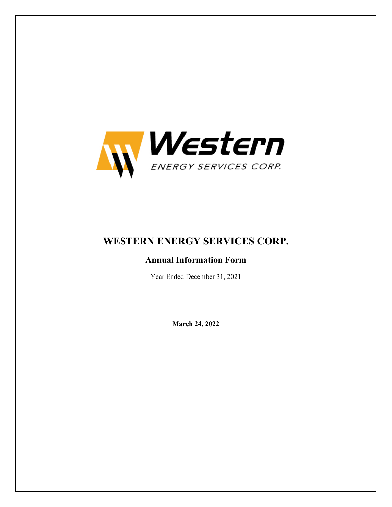

# **WESTERN ENERGY SERVICES CORP.**

## **Annual Information Form**

Year Ended December 31, 2021

**March 24, 2022**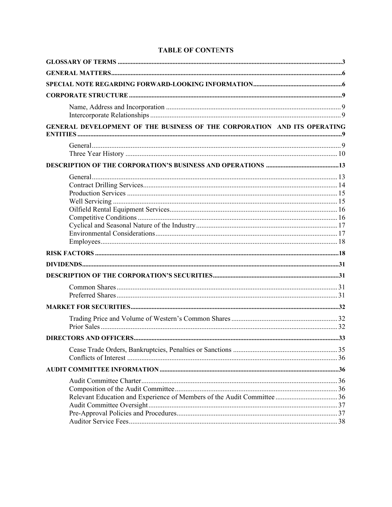| GENERAL DEVELOPMENT OF THE BUSINESS OF THE CORPORATION AND ITS OPERATING |  |
|--------------------------------------------------------------------------|--|
|                                                                          |  |
|                                                                          |  |
|                                                                          |  |
|                                                                          |  |
|                                                                          |  |
|                                                                          |  |
|                                                                          |  |
|                                                                          |  |
|                                                                          |  |
|                                                                          |  |
|                                                                          |  |
|                                                                          |  |
|                                                                          |  |

## **TABLE OF CONTENTS**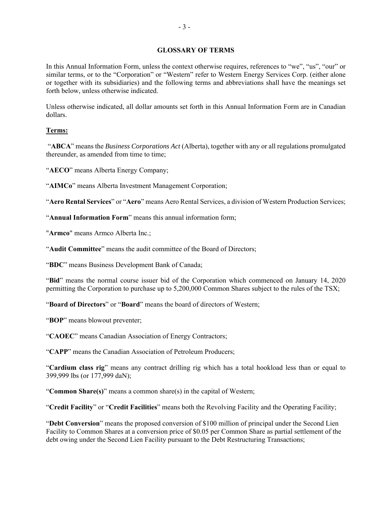### **GLOSSARY OF TERMS**

In this Annual Information Form, unless the context otherwise requires, references to "we", "us", "our" or similar terms, or to the "Corporation" or "Western" refer to Western Energy Services Corp. (either alone or together with its subsidiaries) and the following terms and abbreviations shall have the meanings set forth below, unless otherwise indicated.

Unless otherwise indicated, all dollar amounts set forth in this Annual Information Form are in Canadian dollars.

## **Terms:**

 "**ABCA**" means the *Business Corporations Act* (Alberta), together with any or all regulations promulgated thereunder, as amended from time to time;

"**AECO**" means Alberta Energy Company;

"**AIMCo**" means Alberta Investment Management Corporation;

"**Aero Rental Services**" or "**Aero**" means Aero Rental Services, a division of Western Production Services;

"**Annual Information Form**" means this annual information form;

"**Armco**" means Armco Alberta Inc.;

"**Audit Committee**" means the audit committee of the Board of Directors;

"**BDC**" means Business Development Bank of Canada;

"**Bid**" means the normal course issuer bid of the Corporation which commenced on January 14, 2020 permitting the Corporation to purchase up to 5,200,000 Common Shares subject to the rules of the TSX;

"**Board of Directors**" or "**Board**" means the board of directors of Western;

"**BOP**" means blowout preventer;

"**CAOEC**" means Canadian Association of Energy Contractors;

"**CAPP**" means the Canadian Association of Petroleum Producers;

"**Cardium class rig**" means any contract drilling rig which has a total hookload less than or equal to 399,999 lbs (or 177,999 daN);

"**Common Share(s)**" means a common share(s) in the capital of Western;

"**Credit Facility**" or "**Credit Facilities**" means both the Revolving Facility and the Operating Facility;

"**Debt Conversion**" means the proposed conversion of \$100 million of principal under the Second Lien Facility to Common Shares at a conversion price of \$0.05 per Common Share as partial settlement of the debt owing under the Second Lien Facility pursuant to the Debt Restructuring Transactions;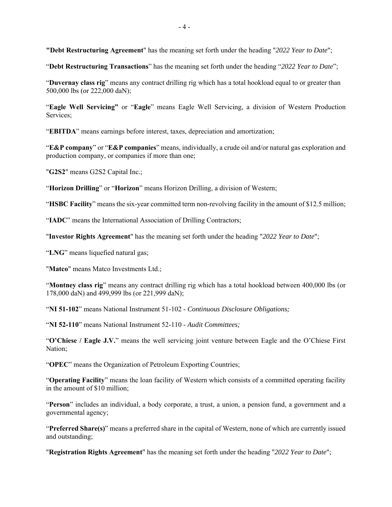**"Debt Restructuring Agreement**" has the meaning set forth under the heading "*2022 Year to Date*";

"**Debt Restructuring Transactions**" has the meaning set forth under the heading "*2022 Year to Date*";

"**Duvernay class rig**" means any contract drilling rig which has a total hookload equal to or greater than 500,000 lbs (or 222,000 daN);

"**Eagle Well Servicing"** or "**Eagle**" means Eagle Well Servicing, a division of Western Production Services;

"**EBITDA**" means earnings before interest, taxes, depreciation and amortization;

"**E&P company**" or "**E&P companies**" means, individually, a crude oil and/or natural gas exploration and production company, or companies if more than one;

"**G2S2**" means G2S2 Capital Inc.;

"**Horizon Drilling**" or "**Horizon**" means Horizon Drilling, a division of Western;

"**HSBC Facility**" means the six-year committed term non-revolving facility in the amount of \$12.5 million;

"**IADC**" means the International Association of Drilling Contractors;

"**Investor Rights Agreement**" has the meaning set forth under the heading "*2022 Year to Date*";

"**LNG**" means liquefied natural gas;

"**Matco**" means Matco Investments Ltd.;

"**Montney class rig**" means any contract drilling rig which has a total hookload between 400,000 lbs (or 178,000 daN) and 499,999 lbs (or 221,999 daN);

"**NI 51-102**" means National Instrument 51-102 - *Continuous Disclosure Obligations;*

"**NI 52-110**" means National Instrument 52-110 - *Audit Committees;* 

"**O'Chiese / Eagle J.V.**" means the well servicing joint venture between Eagle and the O'Chiese First Nation;

"**OPEC**" means the Organization of Petroleum Exporting Countries;

"**Operating Facility**" means the loan facility of Western which consists of a committed operating facility in the amount of \$10 million;

"**Person**" includes an individual, a body corporate, a trust, a union, a pension fund, a government and a governmental agency;

"**Preferred Share(s)**" means a preferred share in the capital of Western, none of which are currently issued and outstanding;

"**Registration Rights Agreement**" has the meaning set forth under the heading "*2022 Year to Date*";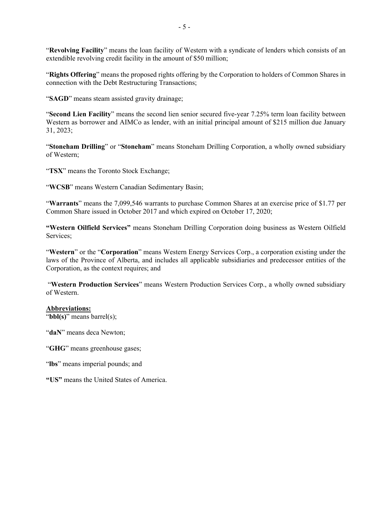"**Revolving Facility**" means the loan facility of Western with a syndicate of lenders which consists of an extendible revolving credit facility in the amount of \$50 million;

"**Rights Offering**" means the proposed rights offering by the Corporation to holders of Common Shares in connection with the Debt Restructuring Transactions;

"**SAGD**" means steam assisted gravity drainage;

"**Second Lien Facility**" means the second lien senior secured five-year 7.25% term loan facility between Western as borrower and AIMCo as lender, with an initial principal amount of \$215 million due January 31, 2023;

"**Stoneham Drilling**" or "**Stoneham**" means Stoneham Drilling Corporation, a wholly owned subsidiary of Western;

"**TSX**" means the Toronto Stock Exchange;

"**WCSB**" means Western Canadian Sedimentary Basin;

"**Warrants**" means the 7,099,546 warrants to purchase Common Shares at an exercise price of \$1.77 per Common Share issued in October 2017 and which expired on October 17, 2020;

**"Western Oilfield Services"** means Stoneham Drilling Corporation doing business as Western Oilfield Services;

"**Western**" or the "**Corporation**" means Western Energy Services Corp., a corporation existing under the laws of the Province of Alberta, and includes all applicable subsidiaries and predecessor entities of the Corporation, as the context requires; and

 "**Western Production Services**" means Western Production Services Corp., a wholly owned subsidiary of Western.

## **Abbreviations:**

"**bbl(s)**" means barrel(s);

"**daN**" means deca Newton;

"**GHG**" means greenhouse gases;

"**lbs**" means imperial pounds; and

**"US"** means the United States of America.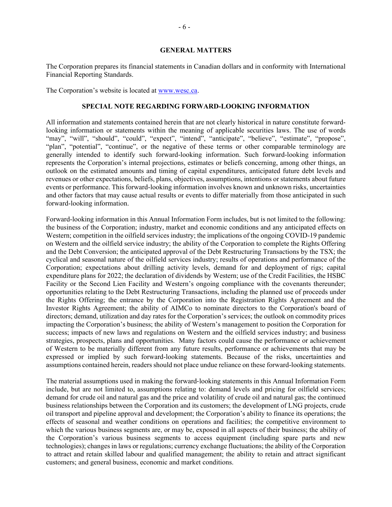#### **GENERAL MATTERS**

The Corporation prepares its financial statements in Canadian dollars and in conformity with International Financial Reporting Standards.

The Corporation's website is located at www.wesc.ca.

#### **SPECIAL NOTE REGARDING FORWARD-LOOKING INFORMATION**

All information and statements contained herein that are not clearly historical in nature constitute forwardlooking information or statements within the meaning of applicable securities laws. The use of words "may", "will", "should", "could", "expect", "intend", "anticipate", "believe", "estimate", "propose", "plan", "potential", "continue", or the negative of these terms or other comparable terminology are generally intended to identify such forward-looking information. Such forward-looking information represents the Corporation's internal projections, estimates or beliefs concerning, among other things, an outlook on the estimated amounts and timing of capital expenditures, anticipated future debt levels and revenues or other expectations, beliefs, plans, objectives, assumptions, intentions or statements about future events or performance. This forward-looking information involves known and unknown risks, uncertainties and other factors that may cause actual results or events to differ materially from those anticipated in such forward-looking information.

Forward-looking information in this Annual Information Form includes, but is not limited to the following: the business of the Corporation; industry, market and economic conditions and any anticipated effects on Western; competition in the oilfield services industry; the implications of the ongoing COVID-19 pandemic on Western and the oilfield service industry; the ability of the Corporation to complete the Rights Offering and the Debt Conversion; the anticipated approval of the Debt Restructuring Transactions by the TSX; the cyclical and seasonal nature of the oilfield services industry; results of operations and performance of the Corporation; expectations about drilling activity levels, demand for and deployment of rigs; capital expenditure plans for 2022; the declaration of dividends by Western; use of the Credit Facilities, the HSBC Facility or the Second Lien Facility and Western's ongoing compliance with the covenants thereunder; opportunities relating to the Debt Restructuring Transactions, including the planned use of proceeds under the Rights Offering; the entrance by the Corporation into the Registration Rights Agreement and the Investor Rights Agreement; the ability of AIMCo to nominate directors to the Corporation's board of directors; demand, utilization and day rates for the Corporation's services; the outlook on commodity prices impacting the Corporation's business; the ability of Western's management to position the Corporation for success; impacts of new laws and regulations on Western and the oilfield services industry; and business strategies, prospects, plans and opportunities. Many factors could cause the performance or achievement of Western to be materially different from any future results, performance or achievements that may be expressed or implied by such forward-looking statements. Because of the risks, uncertainties and assumptions contained herein, readers should not place undue reliance on these forward-looking statements.

The material assumptions used in making the forward-looking statements in this Annual Information Form include, but are not limited to, assumptions relating to: demand levels and pricing for oilfield services; demand for crude oil and natural gas and the price and volatility of crude oil and natural gas; the continued business relationships between the Corporation and its customers; the development of LNG projects, crude oil transport and pipeline approval and development; the Corporation's ability to finance its operations; the effects of seasonal and weather conditions on operations and facilities; the competitive environment to which the various business segments are, or may be, exposed in all aspects of their business; the ability of the Corporation's various business segments to access equipment (including spare parts and new technologies); changes in laws or regulations; currency exchange fluctuations; the ability of the Corporation to attract and retain skilled labour and qualified management; the ability to retain and attract significant customers; and general business, economic and market conditions.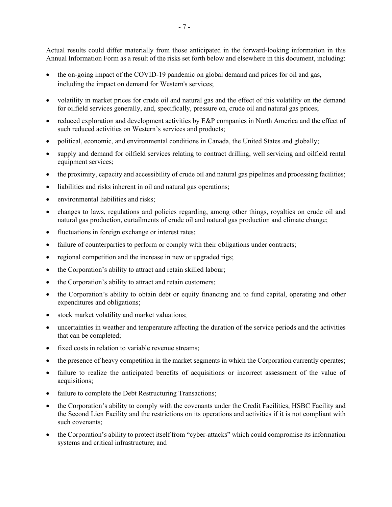Actual results could differ materially from those anticipated in the forward-looking information in this Annual Information Form as a result of the risks set forth below and elsewhere in this document, including:

- the on-going impact of the COVID-19 pandemic on global demand and prices for oil and gas, including the impact on demand for Western's services;
- volatility in market prices for crude oil and natural gas and the effect of this volatility on the demand for oilfield services generally, and, specifically, pressure on, crude oil and natural gas prices;
- reduced exploration and development activities by E&P companies in North America and the effect of such reduced activities on Western's services and products;
- political, economic, and environmental conditions in Canada, the United States and globally;
- supply and demand for oilfield services relating to contract drilling, well servicing and oilfield rental equipment services;
- the proximity, capacity and accessibility of crude oil and natural gas pipelines and processing facilities;
- liabilities and risks inherent in oil and natural gas operations;
- environmental liabilities and risks;
- changes to laws, regulations and policies regarding, among other things, royalties on crude oil and natural gas production, curtailments of crude oil and natural gas production and climate change;
- fluctuations in foreign exchange or interest rates;
- failure of counterparties to perform or comply with their obligations under contracts;
- regional competition and the increase in new or upgraded rigs;
- the Corporation's ability to attract and retain skilled labour;
- the Corporation's ability to attract and retain customers;
- the Corporation's ability to obtain debt or equity financing and to fund capital, operating and other expenditures and obligations;
- stock market volatility and market valuations;
- uncertainties in weather and temperature affecting the duration of the service periods and the activities that can be completed;
- fixed costs in relation to variable revenue streams;
- the presence of heavy competition in the market segments in which the Corporation currently operates;
- failure to realize the anticipated benefits of acquisitions or incorrect assessment of the value of acquisitions;
- failure to complete the Debt Restructuring Transactions;
- the Corporation's ability to comply with the covenants under the Credit Facilities, HSBC Facility and the Second Lien Facility and the restrictions on its operations and activities if it is not compliant with such covenants;
- the Corporation's ability to protect itself from "cyber-attacks" which could compromise its information systems and critical infrastructure; and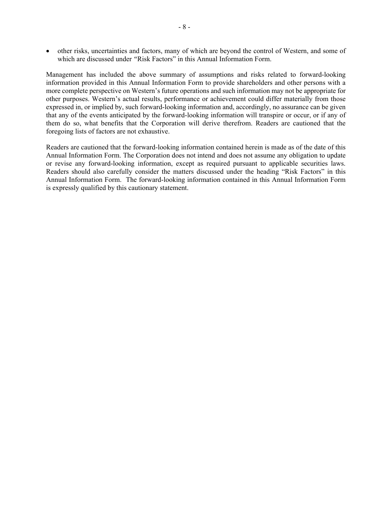other risks, uncertainties and factors, many of which are beyond the control of Western, and some of which are discussed under *"*Risk Factors" in this Annual Information Form.

Management has included the above summary of assumptions and risks related to forward-looking information provided in this Annual Information Form to provide shareholders and other persons with a more complete perspective on Western's future operations and such information may not be appropriate for other purposes. Western's actual results, performance or achievement could differ materially from those expressed in, or implied by, such forward-looking information and, accordingly, no assurance can be given that any of the events anticipated by the forward-looking information will transpire or occur, or if any of them do so, what benefits that the Corporation will derive therefrom. Readers are cautioned that the foregoing lists of factors are not exhaustive.

Readers are cautioned that the forward-looking information contained herein is made as of the date of this Annual Information Form. The Corporation does not intend and does not assume any obligation to update or revise any forward-looking information, except as required pursuant to applicable securities laws. Readers should also carefully consider the matters discussed under the heading "Risk Factors" in this Annual Information Form. The forward-looking information contained in this Annual Information Form is expressly qualified by this cautionary statement.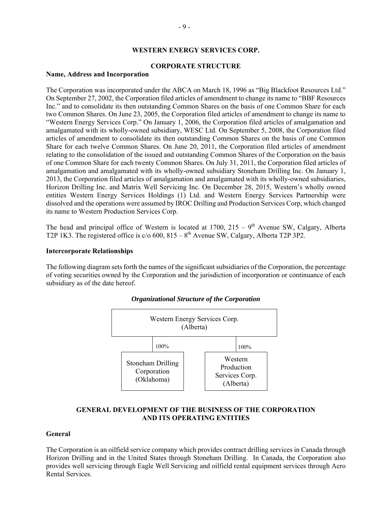#### **WESTERN ENERGY SERVICES CORP.**

### **CORPORATE STRUCTURE**

#### **Name, Address and Incorporation**

The Corporation was incorporated under the ABCA on March 18, 1996 as "Big Blackfoot Resources Ltd." On September 27, 2002, the Corporation filed articles of amendment to change its name to "BBF Resources Inc." and to consolidate its then outstanding Common Shares on the basis of one Common Share for each two Common Shares. On June 23, 2005, the Corporation filed articles of amendment to change its name to "Western Energy Services Corp." On January 1, 2006, the Corporation filed articles of amalgamation and amalgamated with its wholly-owned subsidiary, WESC Ltd. On September 5, 2008, the Corporation filed articles of amendment to consolidate its then outstanding Common Shares on the basis of one Common Share for each twelve Common Shares. On June 20, 2011, the Corporation filed articles of amendment relating to the consolidation of the issued and outstanding Common Shares of the Corporation on the basis of one Common Share for each twenty Common Shares. On July 31, 2011, the Corporation filed articles of amalgamation and amalgamated with its wholly-owned subsidiary Stoneham Drilling Inc. On January 1, 2013, the Corporation filed articles of amalgamation and amalgamated with its wholly-owned subsidiaries, Horizon Drilling Inc. and Matrix Well Servicing Inc. On December 28, 2015, Western's wholly owned entities Western Energy Services Holdings (1) Ltd. and Western Energy Services Partnership were dissolved and the operations were assumed by IROC Drilling and Production Services Corp, which changed its name to Western Production Services Corp.

The head and principal office of Western is located at  $1700$ ,  $215 - 9<sup>th</sup>$  Avenue SW, Calgary, Alberta T2P 1K3. The registered office is  $c/0$  600,  $815 - 8$ <sup>th</sup> Avenue SW, Calgary, Alberta T2P 3P2.

#### **Intercorporate Relationships**

The following diagram sets forth the names of the significant subsidiaries of the Corporation, the percentage of voting securities owned by the Corporation and the jurisdiction of incorporation or continuance of each subsidiary as of the date hereof.



## *Organizational Structure of the Corporation*

## **GENERAL DEVELOPMENT OF THE BUSINESS OF THE CORPORATION AND ITS OPERATING ENTITIES**

#### **General**

The Corporation is an oilfield service company which provides contract drilling services in Canada through Horizon Drilling and in the United States through Stoneham Drilling. In Canada, the Corporation also provides well servicing through Eagle Well Servicing and oilfield rental equipment services through Aero Rental Services.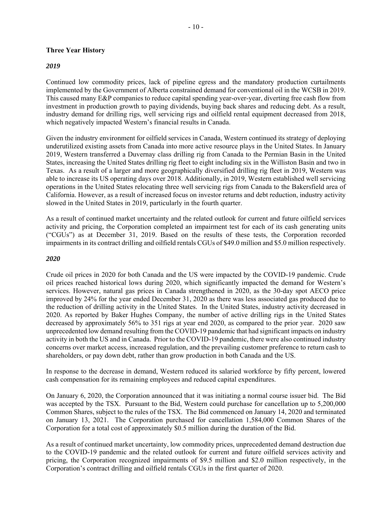#### **Three Year History**

#### *2019*

Continued low commodity prices, lack of pipeline egress and the mandatory production curtailments implemented by the Government of Alberta constrained demand for conventional oil in the WCSB in 2019. This caused many E&P companies to reduce capital spending year-over-year, diverting free cash flow from investment in production growth to paying dividends, buying back shares and reducing debt. As a result, industry demand for drilling rigs, well servicing rigs and oilfield rental equipment decreased from 2018, which negatively impacted Western's financial results in Canada.

Given the industry environment for oilfield services in Canada, Western continued its strategy of deploying underutilized existing assets from Canada into more active resource plays in the United States. In January 2019, Western transferred a Duvernay class drilling rig from Canada to the Permian Basin in the United States, increasing the United States drilling rig fleet to eight including six in the Williston Basin and two in Texas. As a result of a larger and more geographically diversified drilling rig fleet in 2019, Western was able to increase its US operating days over 2018. Additionally, in 2019, Western established well servicing operations in the United States relocating three well servicing rigs from Canada to the Bakersfield area of California. However, as a result of increased focus on investor returns and debt reduction, industry activity slowed in the United States in 2019, particularly in the fourth quarter.

As a result of continued market uncertainty and the related outlook for current and future oilfield services activity and pricing, the Corporation completed an impairment test for each of its cash generating units ("CGUs") as at December 31, 2019. Based on the results of these tests, the Corporation recorded impairments in its contract drilling and oilfield rentals CGUs of \$49.0 million and \$5.0 million respectively.

#### *2020*

Crude oil prices in 2020 for both Canada and the US were impacted by the COVID‐19 pandemic. Crude oil prices reached historical lows during 2020, which significantly impacted the demand for Western's services. However, natural gas prices in Canada strengthened in 2020, as the 30-day spot AECO price improved by 24% for the year ended December 31, 2020 as there was less associated gas produced due to the reduction of drilling activity in the United States. In the United States, industry activity decreased in 2020. As reported by Baker Hughes Company, the number of active drilling rigs in the United States decreased by approximately 56% to 351 rigs at year end 2020, as compared to the prior year. 2020 saw unprecedented low demand resulting from the COVID-19 pandemic that had significant impacts on industry activity in both the US and in Canada. Prior to the COVID‐19 pandemic, there were also continued industry concerns over market access, increased regulation, and the prevailing customer preference to return cash to shareholders, or pay down debt, rather than grow production in both Canada and the US.

In response to the decrease in demand, Western reduced its salaried workforce by fifty percent, lowered cash compensation for its remaining employees and reduced capital expenditures.

On January 6, 2020, the Corporation announced that it was initiating a normal course issuer bid. The Bid was accepted by the TSX. Pursuant to the Bid, Western could purchase for cancellation up to 5,200,000 Common Shares, subject to the rules of the TSX. The Bid commenced on January 14, 2020 and terminated on January 13, 2021. The Corporation purchased for cancellation 1,584,000 Common Shares of the Corporation for a total cost of approximately \$0.5 million during the duration of the Bid.

As a result of continued market uncertainty, low commodity prices, unprecedented demand destruction due to the COVID-19 pandemic and the related outlook for current and future oilfield services activity and pricing, the Corporation recognized impairments of \$9.5 million and \$2.0 million respectively, in the Corporation's contract drilling and oilfield rentals CGUs in the first quarter of 2020.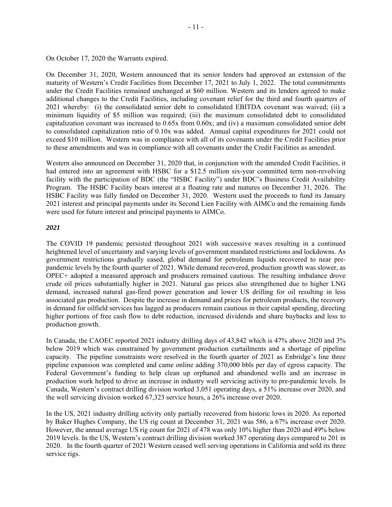On October 17, 2020 the Warrants expired.

On December 31, 2020, Western announced that its senior lenders had approved an extension of the maturity of Western's Credit Facilities from December 17, 2021 to July 1, 2022. The total commitments under the Credit Facilities remained unchanged at \$60 million. Western and its lenders agreed to make additional changes to the Credit Facilities, including covenant relief for the third and fourth quarters of 2021 whereby: (i) the consolidated senior debt to consolidated EBITDA covenant was waived; (ii) a minimum liquidity of \$5 million was required; (iii) the maximum consolidated debt to consolidated capitalization covenant was increased to 0.65x from 0.60x; and (iv) a maximum consolidated senior debt to consolidated capitalization ratio of 0.10x was added. Annual capital expenditures for 2021 could not exceed \$10 million. Western was in compliance with all of its covenants under the Credit Facilities prior to these amendments and was in compliance with all covenants under the Credit Facilities as amended.

Western also announced on December 31, 2020 that, in conjunction with the amended Credit Facilities, it had entered into an agreement with HSBC for a \$12.5 million six-year committed term non-revolving facility with the participation of BDC (the "HSBC Facility") under BDC's Business Credit Availability Program. The HSBC Facility bears interest at a floating rate and matures on December 31, 2026. The HSBC Facility was fully funded on December 31, 2020. Western used the proceeds to fund its January 2021 interest and principal payments under its Second Lien Facility with AIMCo and the remaining funds were used for future interest and principal payments to AIMCo.

#### *2021*

The COVID 19 pandemic persisted throughout 2021 with successive waves resulting in a continued heightened level of uncertainty and varying levels of government mandated restrictions and lockdowns. As government restrictions gradually eased, global demand for petroleum liquids recovered to near prepandemic levels by the fourth quarter of 2021. While demand recovered, production growth was slower, as OPEC+ adopted a measured approach and producers remained cautious. The resulting imbalance drove crude oil prices substantially higher in 2021. Natural gas prices also strengthened due to higher LNG demand, increased natural gas-fired power generation and lower US drilling for oil resulting in less associated gas production. Despite the increase in demand and prices for petroleum products, the recovery in demand for oilfield services has lagged as producers remain cautious in their capital spending, directing higher portions of free cash flow to debt reduction, increased dividends and share buybacks and less to production growth.

In Canada, the CAOEC reported 2021 industry drilling days of 43,842 which is 47% above 2020 and 3% below 2019 which was constrained by government production curtailments and a shortage of pipeline capacity. The pipeline constraints were resolved in the fourth quarter of 2021 as Enbridge's line three pipeline expansion was completed and came online adding 370,000 bbls per day of egress capacity. The Federal Government's funding to help clean up orphaned and abandoned wells and an increase in production work helped to drive an increase in industry well servicing activity to pre-pandemic levels. In Canada, Western's contract drilling division worked 3,051 operating days, a 51% increase over 2020, and the well servicing division worked 67,323 service hours, a 26% increase over 2020.

In the US, 2021 industry drilling activity only partially recovered from historic lows in 2020. As reported by Baker Hughes Company, the US rig count at December 31, 2021 was 586, a 67% increase over 2020. However, the annual average US rig count for 2021 of 478 was only 10% higher than 2020 and 49% below 2019 levels. In the US, Western's contract drilling division worked 387 operating days compared to 201 in 2020. In the fourth quarter of 2021 Western ceased well serving operations in California and sold its three service rigs.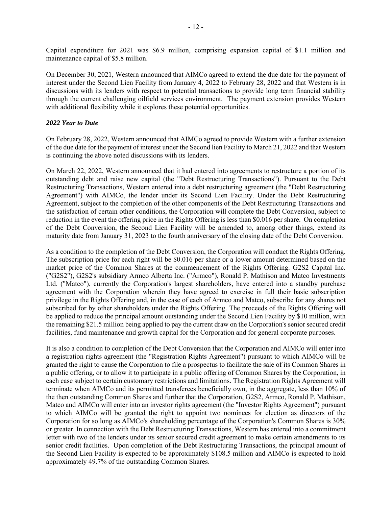Capital expenditure for 2021 was \$6.9 million, comprising expansion capital of \$1.1 million and maintenance capital of \$5.8 million.

On December 30, 2021, Western announced that AIMCo agreed to extend the due date for the payment of interest under the Second Lien Facility from January 4, 2022 to February 28, 2022 and that Western is in discussions with its lenders with respect to potential transactions to provide long term financial stability through the current challenging oilfield services environment. The payment extension provides Western with additional flexibility while it explores these potential opportunities.

#### *2022 Year to Date*

On February 28, 2022, Western announced that AIMCo agreed to provide Western with a further extension of the due date for the payment of interest under the Second lien Facility to March 21, 2022 and that Western is continuing the above noted discussions with its lenders.

On March 22, 2022, Western announced that it had entered into agreements to restructure a portion of its outstanding debt and raise new capital (the "Debt Restructuring Transactions"). Pursuant to the Debt Restructuring Transactions, Western entered into a debt restructuring agreement (the "Debt Restructuring Agreement") with AIMCo, the lender under its Second Lien Facility. Under the Debt Restructuring Agreement, subject to the completion of the other components of the Debt Restructuring Transactions and the satisfaction of certain other conditions, the Corporation will complete the Debt Conversion, subject to reduction in the event the offering price in the Rights Offering is less than \$0.016 per share. On completion of the Debt Conversion, the Second Lien Facility will be amended to, among other things, extend its maturity date from January 31, 2023 to the fourth anniversary of the closing date of the Debt Conversion.

As a condition to the completion of the Debt Conversion, the Corporation will conduct the Rights Offering. The subscription price for each right will be \$0.016 per share or a lower amount determined based on the market price of the Common Shares at the commencement of the Rights Offering. G2S2 Capital Inc. ("G2S2"), G2S2's subsidiary Armco Alberta Inc. ("Armco"), Ronald P. Mathison and Matco Investments Ltd. ("Matco"), currently the Corporation's largest shareholders, have entered into a standby purchase agreement with the Corporation wherein they have agreed to exercise in full their basic subscription privilege in the Rights Offering and, in the case of each of Armco and Matco, subscribe for any shares not subscribed for by other shareholders under the Rights Offering. The proceeds of the Rights Offering will be applied to reduce the principal amount outstanding under the Second Lien Facility by \$10 million, with the remaining \$21.5 million being applied to pay the current draw on the Corporation's senior secured credit facilities, fund maintenance and growth capital for the Corporation and for general corporate purposes.

It is also a condition to completion of the Debt Conversion that the Corporation and AIMCo will enter into a registration rights agreement (the "Registration Rights Agreement") pursuant to which AIMCo will be granted the right to cause the Corporation to file a prospectus to facilitate the sale of its Common Shares in a public offering, or to allow it to participate in a public offering of Common Shares by the Corporation, in each case subject to certain customary restrictions and limitations. The Registration Rights Agreement will terminate when AIMCo and its permitted transferees beneficially own, in the aggregate, less than 10% of the then outstanding Common Shares and further that the Corporation, G2S2, Armco, Ronald P. Mathison, Matco and AIMCo will enter into an investor rights agreement (the "Investor Rights Agreement") pursuant to which AIMCo will be granted the right to appoint two nominees for election as directors of the Corporation for so long as AIMCo's shareholding percentage of the Corporation's Common Shares is 30% or greater. In connection with the Debt Restructuring Transactions, Western has entered into a commitment letter with two of the lenders under its senior secured credit agreement to make certain amendments to its senior credit facilities. Upon completion of the Debt Restructuring Transactions, the principal amount of the Second Lien Facility is expected to be approximately \$108.5 million and AIMCo is expected to hold approximately 49.7% of the outstanding Common Shares.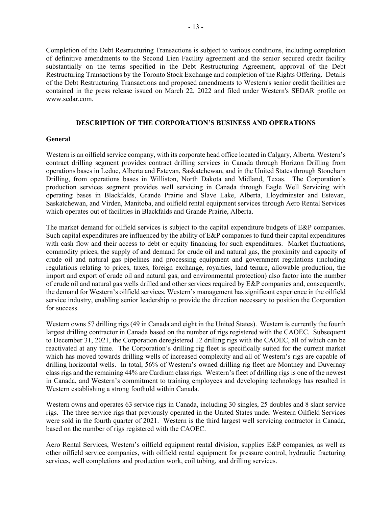Completion of the Debt Restructuring Transactions is subject to various conditions, including completion of definitive amendments to the Second Lien Facility agreement and the senior secured credit facility substantially on the terms specified in the Debt Restructuring Agreement, approval of the Debt Restructuring Transactions by the Toronto Stock Exchange and completion of the Rights Offering. Details of the Debt Restructuring Transactions and proposed amendments to Western's senior credit facilities are contained in the press release issued on March 22, 2022 and filed under Western's SEDAR profile on www.sedar.com.

#### **DESCRIPTION OF THE CORPORATION'S BUSINESS AND OPERATIONS**

#### **General**

Western is an oilfield service company, with its corporate head office located in Calgary, Alberta. Western's contract drilling segment provides contract drilling services in Canada through Horizon Drilling from operations bases in Leduc, Alberta and Estevan, Saskatchewan, and in the United States through Stoneham Drilling, from operations bases in Williston, North Dakota and Midland, Texas. The Corporation's production services segment provides well servicing in Canada through Eagle Well Servicing with operating bases in Blackfalds, Grande Prairie and Slave Lake, Alberta, Lloydminster and Estevan, Saskatchewan, and Virden, Manitoba, and oilfield rental equipment services through Aero Rental Services which operates out of facilities in Blackfalds and Grande Prairie, Alberta.

The market demand for oilfield services is subject to the capital expenditure budgets of E&P companies. Such capital expenditures are influenced by the ability of E&P companies to fund their capital expenditures with cash flow and their access to debt or equity financing for such expenditures. Market fluctuations, commodity prices, the supply of and demand for crude oil and natural gas, the proximity and capacity of crude oil and natural gas pipelines and processing equipment and government regulations (including regulations relating to prices, taxes, foreign exchange, royalties, land tenure, allowable production, the import and export of crude oil and natural gas, and environmental protection) also factor into the number of crude oil and natural gas wells drilled and other services required by E&P companies and, consequently, the demand for Western's oilfield services. Western's management has significant experience in the oilfield service industry, enabling senior leadership to provide the direction necessary to position the Corporation for success.

Western owns 57 drilling rigs (49 in Canada and eight in the United States). Western is currently the fourth largest drilling contractor in Canada based on the number of rigs registered with the CAOEC. Subsequent to December 31, 2021, the Corporation deregistered 12 drilling rigs with the CAOEC, all of which can be reactivated at any time. The Corporation's drilling rig fleet is specifically suited for the current market which has moved towards drilling wells of increased complexity and all of Western's rigs are capable of drilling horizontal wells. In total, 56% of Western's owned drilling rig fleet are Montney and Duvernay class rigs and the remaining 44% are Cardium class rigs. Western's fleet of drilling rigs is one of the newest in Canada, and Western's commitment to training employees and developing technology has resulted in Western establishing a strong foothold within Canada.

Western owns and operates 63 service rigs in Canada, including 30 singles, 25 doubles and 8 slant service rigs. The three service rigs that previously operated in the United States under Western Oilfield Services were sold in the fourth quarter of 2021. Western is the third largest well servicing contractor in Canada, based on the number of rigs registered with the CAOEC.

Aero Rental Services, Western's oilfield equipment rental division, supplies E&P companies, as well as other oilfield service companies, with oilfield rental equipment for pressure control, hydraulic fracturing services, well completions and production work, coil tubing, and drilling services.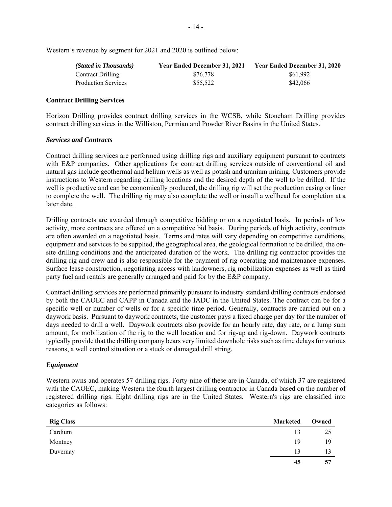Western's revenue by segment for 2021 and 2020 is outlined below:

| (Stated in Thousands)      | <b>Year Ended December 31, 2021</b> | Year Ended December 31, 2020 |
|----------------------------|-------------------------------------|------------------------------|
| <b>Contract Drilling</b>   | \$76,778                            | \$61.992                     |
| <b>Production Services</b> | \$55,522                            | \$42,066                     |

#### **Contract Drilling Services**

Horizon Drilling provides contract drilling services in the WCSB, while Stoneham Drilling provides contract drilling services in the Williston, Permian and Powder River Basins in the United States.

#### *Services and Contracts*

Contract drilling services are performed using drilling rigs and auxiliary equipment pursuant to contracts with E&P companies. Other applications for contract drilling services outside of conventional oil and natural gas include geothermal and helium wells as well as potash and uranium mining. Customers provide instructions to Western regarding drilling locations and the desired depth of the well to be drilled. If the well is productive and can be economically produced, the drilling rig will set the production casing or liner to complete the well. The drilling rig may also complete the well or install a wellhead for completion at a later date.

Drilling contracts are awarded through competitive bidding or on a negotiated basis. In periods of low activity, more contracts are offered on a competitive bid basis. During periods of high activity, contracts are often awarded on a negotiated basis. Terms and rates will vary depending on competitive conditions, equipment and services to be supplied, the geographical area, the geological formation to be drilled, the onsite drilling conditions and the anticipated duration of the work. The drilling rig contractor provides the drilling rig and crew and is also responsible for the payment of rig operating and maintenance expenses. Surface lease construction, negotiating access with landowners, rig mobilization expenses as well as third party fuel and rentals are generally arranged and paid for by the E&P company.

Contract drilling services are performed primarily pursuant to industry standard drilling contracts endorsed by both the CAOEC and CAPP in Canada and the IADC in the United States. The contract can be for a specific well or number of wells or for a specific time period. Generally, contracts are carried out on a daywork basis. Pursuant to daywork contracts, the customer pays a fixed charge per day for the number of days needed to drill a well. Daywork contracts also provide for an hourly rate, day rate, or a lump sum amount, for mobilization of the rig to the well location and for rig-up and rig-down. Daywork contracts typically provide that the drilling company bears very limited downhole risks such as time delays for various reasons, a well control situation or a stuck or damaged drill string.

#### *Equipment*

Western owns and operates 57 drilling rigs. Forty-nine of these are in Canada, of which 37 are registered with the CAOEC, making Western the fourth largest drilling contractor in Canada based on the number of registered drilling rigs. Eight drilling rigs are in the United States. Western's rigs are classified into categories as follows:

| <b>Rig Class</b> | <b>Marketed</b> | Owned |
|------------------|-----------------|-------|
| Cardium          | 13              | 25    |
| Montney          | 19              | 19    |
| Duvernay         | 13              | 13    |
|                  | 45              | 57    |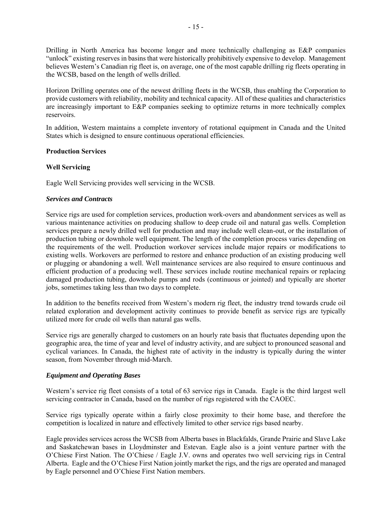Drilling in North America has become longer and more technically challenging as E&P companies "unlock" existing reserves in basins that were historically prohibitively expensive to develop. Management believes Western's Canadian rig fleet is, on average, one of the most capable drilling rig fleets operating in the WCSB, based on the length of wells drilled.

Horizon Drilling operates one of the newest drilling fleets in the WCSB, thus enabling the Corporation to provide customers with reliability, mobility and technical capacity. All of these qualities and characteristics are increasingly important to E&P companies seeking to optimize returns in more technically complex reservoirs.

In addition, Western maintains a complete inventory of rotational equipment in Canada and the United States which is designed to ensure continuous operational efficiencies.

#### **Production Services**

#### **Well Servicing**

Eagle Well Servicing provides well servicing in the WCSB.

#### *Services and Contracts*

Service rigs are used for completion services, production work-overs and abandonment services as well as various maintenance activities on producing shallow to deep crude oil and natural gas wells. Completion services prepare a newly drilled well for production and may include well clean-out, or the installation of production tubing or downhole well equipment. The length of the completion process varies depending on the requirements of the well. Production workover services include major repairs or modifications to existing wells. Workovers are performed to restore and enhance production of an existing producing well or plugging or abandoning a well. Well maintenance services are also required to ensure continuous and efficient production of a producing well. These services include routine mechanical repairs or replacing damaged production tubing, downhole pumps and rods (continuous or jointed) and typically are shorter jobs, sometimes taking less than two days to complete.

In addition to the benefits received from Western's modern rig fleet, the industry trend towards crude oil related exploration and development activity continues to provide benefit as service rigs are typically utilized more for crude oil wells than natural gas wells.

Service rigs are generally charged to customers on an hourly rate basis that fluctuates depending upon the geographic area, the time of year and level of industry activity, and are subject to pronounced seasonal and cyclical variances. In Canada, the highest rate of activity in the industry is typically during the winter season, from November through mid-March.

#### *Equipment and Operating Bases*

Western's service rig fleet consists of a total of 63 service rigs in Canada. Eagle is the third largest well servicing contractor in Canada, based on the number of rigs registered with the CAOEC.

Service rigs typically operate within a fairly close proximity to their home base, and therefore the competition is localized in nature and effectively limited to other service rigs based nearby.

Eagle provides services across the WCSB from Alberta bases in Blackfalds, Grande Prairie and Slave Lake and Saskatchewan bases in Lloydminster and Estevan. Eagle also is a joint venture partner with the O'Chiese First Nation. The O'Chiese / Eagle J.V. owns and operates two well servicing rigs in Central Alberta. Eagle and the O'Chiese First Nation jointly market the rigs, and the rigs are operated and managed by Eagle personnel and O'Chiese First Nation members.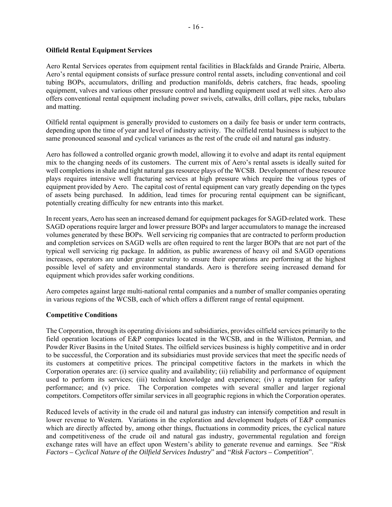## **Oilfield Rental Equipment Services**

Aero Rental Services operates from equipment rental facilities in Blackfalds and Grande Prairie, Alberta. Aero's rental equipment consists of surface pressure control rental assets, including conventional and coil tubing BOPs, accumulators, drilling and production manifolds, debris catchers, frac heads, spooling equipment, valves and various other pressure control and handling equipment used at well sites. Aero also offers conventional rental equipment including power swivels, catwalks, drill collars, pipe racks, tubulars and matting.

Oilfield rental equipment is generally provided to customers on a daily fee basis or under term contracts, depending upon the time of year and level of industry activity. The oilfield rental business is subject to the same pronounced seasonal and cyclical variances as the rest of the crude oil and natural gas industry.

Aero has followed a controlled organic growth model, allowing it to evolve and adapt its rental equipment mix to the changing needs of its customers. The current mix of Aero's rental assets is ideally suited for well completions in shale and tight natural gas resource plays of the WCSB. Development of these resource plays requires intensive well fracturing services at high pressure which require the various types of equipment provided by Aero. The capital cost of rental equipment can vary greatly depending on the types of assets being purchased. In addition, lead times for procuring rental equipment can be significant, potentially creating difficulty for new entrants into this market.

In recent years, Aero has seen an increased demand for equipment packages for SAGD-related work. These SAGD operations require larger and lower pressure BOPs and larger accumulators to manage the increased volumes generated by these BOPs. Well servicing rig companies that are contracted to perform production and completion services on SAGD wells are often required to rent the larger BOPs that are not part of the typical well servicing rig package. In addition, as public awareness of heavy oil and SAGD operations increases, operators are under greater scrutiny to ensure their operations are performing at the highest possible level of safety and environmental standards. Aero is therefore seeing increased demand for equipment which provides safer working conditions.

Aero competes against large multi-national rental companies and a number of smaller companies operating in various regions of the WCSB, each of which offers a different range of rental equipment.

## **Competitive Conditions**

The Corporation, through its operating divisions and subsidiaries, provides oilfield services primarily to the field operation locations of E&P companies located in the WCSB, and in the Williston, Permian, and Powder River Basins in the United States. The oilfield services business is highly competitive and in order to be successful, the Corporation and its subsidiaries must provide services that meet the specific needs of its customers at competitive prices. The principal competitive factors in the markets in which the Corporation operates are: (i) service quality and availability; (ii) reliability and performance of equipment used to perform its services; (iii) technical knowledge and experience; (iv) a reputation for safety performance; and (v) price. The Corporation competes with several smaller and larger regional competitors. Competitors offer similar services in all geographic regions in which the Corporation operates.

Reduced levels of activity in the crude oil and natural gas industry can intensify competition and result in lower revenue to Western. Variations in the exploration and development budgets of E&P companies which are directly affected by, among other things, fluctuations in commodity prices, the cyclical nature and competitiveness of the crude oil and natural gas industry, governmental regulation and foreign exchange rates will have an effect upon Western's ability to generate revenue and earnings. See "*Risk Factors – Cyclical Nature of the Oilfield Services Industry*" and "*Risk Factors – Competition*".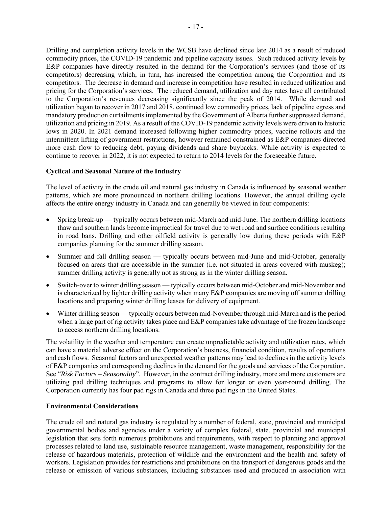Drilling and completion activity levels in the WCSB have declined since late 2014 as a result of reduced commodity prices, the COVID-19 pandemic and pipeline capacity issues. Such reduced activity levels by E&P companies have directly resulted in the demand for the Corporation's services (and those of its competitors) decreasing which, in turn, has increased the competition among the Corporation and its competitors. The decrease in demand and increase in competition have resulted in reduced utilization and pricing for the Corporation's services. The reduced demand, utilization and day rates have all contributed to the Corporation's revenues decreasing significantly since the peak of 2014. While demand and utilization began to recover in 2017 and 2018, continued low commodity prices, lack of pipeline egress and mandatory production curtailments implemented by the Government of Alberta further suppressed demand, utilization and pricing in 2019. As a result of the COVID-19 pandemic activity levels were driven to historic lows in 2020. In 2021 demand increased following higher commodity prices, vaccine rollouts and the intermittent lifting of government restrictions, however remained constrained as E&P companies directed more cash flow to reducing debt, paying dividends and share buybacks. While activity is expected to continue to recover in 2022, it is not expected to return to 2014 levels for the foreseeable future.

#### **Cyclical and Seasonal Nature of the Industry**

The level of activity in the crude oil and natural gas industry in Canada is influenced by seasonal weather patterns, which are more pronounced in northern drilling locations. However, the annual drilling cycle affects the entire energy industry in Canada and can generally be viewed in four components:

- Spring break-up typically occurs between mid-March and mid-June. The northern drilling locations thaw and southern lands become impractical for travel due to wet road and surface conditions resulting in road bans. Drilling and other oilfield activity is generally low during these periods with E&P companies planning for the summer drilling season.
- Summer and fall drilling season typically occurs between mid-June and mid-October, generally focused on areas that are accessible in the summer (i.e. not situated in areas covered with muskeg); summer drilling activity is generally not as strong as in the winter drilling season.
- Switch-over to winter drilling season typically occurs between mid-October and mid-November and is characterized by lighter drilling activity when many E&P companies are moving off summer drilling locations and preparing winter drilling leases for delivery of equipment.
- Winter drilling season typically occurs between mid-November through mid-March and is the period when a large part of rig activity takes place and E&P companies take advantage of the frozen landscape to access northern drilling locations.

The volatility in the weather and temperature can create unpredictable activity and utilization rates, which can have a material adverse effect on the Corporation's business, financial condition, results of operations and cash flows. Seasonal factors and unexpected weather patterns may lead to declines in the activity levels of E&P companies and corresponding declines in the demand for the goods and services of the Corporation. See "*Risk Factors – Seasonality*". However, in the contract drilling industry, more and more customers are utilizing pad drilling techniques and programs to allow for longer or even year-round drilling. The Corporation currently has four pad rigs in Canada and three pad rigs in the United States.

#### **Environmental Considerations**

The crude oil and natural gas industry is regulated by a number of federal, state, provincial and municipal governmental bodies and agencies under a variety of complex federal, state, provincial and municipal legislation that sets forth numerous prohibitions and requirements, with respect to planning and approval processes related to land use, sustainable resource management, waste management, responsibility for the release of hazardous materials, protection of wildlife and the environment and the health and safety of workers. Legislation provides for restrictions and prohibitions on the transport of dangerous goods and the release or emission of various substances, including substances used and produced in association with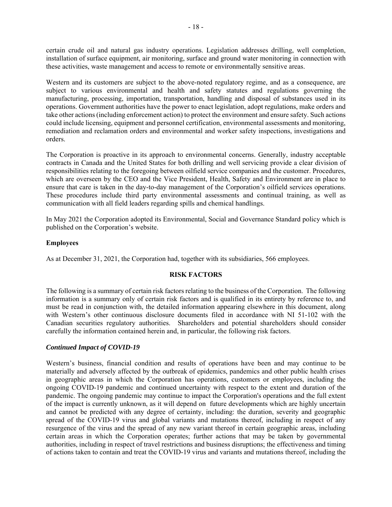certain crude oil and natural gas industry operations. Legislation addresses drilling, well completion, installation of surface equipment, air monitoring, surface and ground water monitoring in connection with these activities, waste management and access to remote or environmentally sensitive areas.

Western and its customers are subject to the above-noted regulatory regime, and as a consequence, are subject to various environmental and health and safety statutes and regulations governing the manufacturing, processing, importation, transportation, handling and disposal of substances used in its operations. Government authorities have the power to enact legislation, adopt regulations, make orders and take other actions (including enforcement action) to protect the environment and ensure safety. Such actions could include licensing, equipment and personnel certification, environmental assessments and monitoring, remediation and reclamation orders and environmental and worker safety inspections, investigations and orders.

The Corporation is proactive in its approach to environmental concerns. Generally, industry acceptable contracts in Canada and the United States for both drilling and well servicing provide a clear division of responsibilities relating to the foregoing between oilfield service companies and the customer. Procedures, which are overseen by the CEO and the Vice President, Health, Safety and Environment are in place to ensure that care is taken in the day-to-day management of the Corporation's oilfield services operations. These procedures include third party environmental assessments and continual training, as well as communication with all field leaders regarding spills and chemical handlings.

In May 2021 the Corporation adopted its Environmental, Social and Governance Standard policy which is published on the Corporation's website.

#### **Employees**

As at December 31, 2021, the Corporation had, together with its subsidiaries, 566 employees.

### **RISK FACTORS**

The following is a summary of certain risk factors relating to the business of the Corporation. The following information is a summary only of certain risk factors and is qualified in its entirety by reference to, and must be read in conjunction with, the detailed information appearing elsewhere in this document, along with Western's other continuous disclosure documents filed in accordance with NI 51-102 with the Canadian securities regulatory authorities. Shareholders and potential shareholders should consider carefully the information contained herein and, in particular, the following risk factors.

## *Continued Impact of COVID-19*

Western's business, financial condition and results of operations have been and may continue to be materially and adversely affected by the outbreak of epidemics, pandemics and other public health crises in geographic areas in which the Corporation has operations, customers or employees, including the ongoing COVID-19 pandemic and continued uncertainty with respect to the extent and duration of the pandemic. The ongoing pandemic may continue to impact the Corporation's operations and the full extent of the impact is currently unknown, as it will depend on future developments which are highly uncertain and cannot be predicted with any degree of certainty, including: the duration, severity and geographic spread of the COVID-19 virus and global variants and mutations thereof, including in respect of any resurgence of the virus and the spread of any new variant thereof in certain geographic areas, including certain areas in which the Corporation operates; further actions that may be taken by governmental authorities, including in respect of travel restrictions and business disruptions; the effectiveness and timing of actions taken to contain and treat the COVID-19 virus and variants and mutations thereof, including the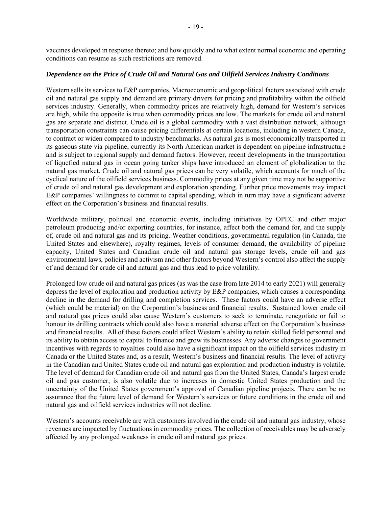vaccines developed in response thereto; and how quickly and to what extent normal economic and operating conditions can resume as such restrictions are removed.

#### *Dependence on the Price of Crude Oil and Natural Gas and Oilfield Services Industry Conditions*

Western sells its services to E&P companies. Macroeconomic and geopolitical factors associated with crude oil and natural gas supply and demand are primary drivers for pricing and profitability within the oilfield services industry. Generally, when commodity prices are relatively high, demand for Western's services are high, while the opposite is true when commodity prices are low. The markets for crude oil and natural gas are separate and distinct. Crude oil is a global commodity with a vast distribution network, although transportation constraints can cause pricing differentials at certain locations, including in western Canada, to contract or widen compared to industry benchmarks. As natural gas is most economically transported in its gaseous state via pipeline, currently its North American market is dependent on pipeline infrastructure and is subject to regional supply and demand factors. However, recent developments in the transportation of liquefied natural gas in ocean going tanker ships have introduced an element of globalization to the natural gas market. Crude oil and natural gas prices can be very volatile, which accounts for much of the cyclical nature of the oilfield services business. Commodity prices at any given time may not be supportive of crude oil and natural gas development and exploration spending. Further price movements may impact E&P companies' willingness to commit to capital spending, which in turn may have a significant adverse effect on the Corporation's business and financial results.

Worldwide military, political and economic events, including initiatives by OPEC and other major petroleum producing and/or exporting countries, for instance, affect both the demand for, and the supply of, crude oil and natural gas and its pricing. Weather conditions, governmental regulation (in Canada, the United States and elsewhere), royalty regimes, levels of consumer demand, the availability of pipeline capacity, United States and Canadian crude oil and natural gas storage levels, crude oil and gas environmental laws, policies and activism and other factors beyond Western's control also affect the supply of and demand for crude oil and natural gas and thus lead to price volatility.

Prolonged low crude oil and natural gas prices (as was the case from late 2014 to early 2021) will generally depress the level of exploration and production activity by E&P companies, which causes a corresponding decline in the demand for drilling and completion services. These factors could have an adverse effect (which could be material) on the Corporation's business and financial results. Sustained lower crude oil and natural gas prices could also cause Western's customers to seek to terminate, renegotiate or fail to honour its drilling contracts which could also have a material adverse effect on the Corporation's business and financial results. All of these factors could affect Western's ability to retain skilled field personnel and its ability to obtain access to capital to finance and grow its businesses. Any adverse changes to government incentives with regards to royalties could also have a significant impact on the oilfield services industry in Canada or the United States and, as a result, Western's business and financial results. The level of activity in the Canadian and United States crude oil and natural gas exploration and production industry is volatile. The level of demand for Canadian crude oil and natural gas from the United States, Canada's largest crude oil and gas customer, is also volatile due to increases in domestic United States production and the uncertainty of the United States government's approval of Canadian pipeline projects. There can be no assurance that the future level of demand for Western's services or future conditions in the crude oil and natural gas and oilfield services industries will not decline.

Western's accounts receivable are with customers involved in the crude oil and natural gas industry, whose revenues are impacted by fluctuations in commodity prices. The collection of receivables may be adversely affected by any prolonged weakness in crude oil and natural gas prices.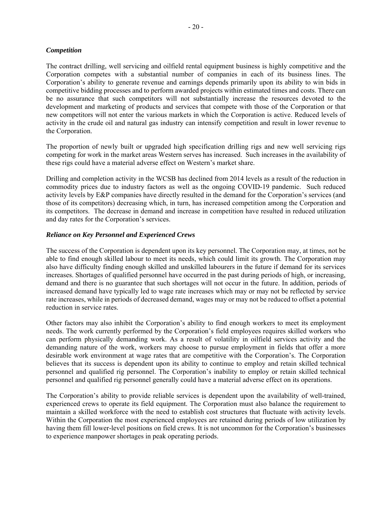#### *Competition*

The contract drilling, well servicing and oilfield rental equipment business is highly competitive and the Corporation competes with a substantial number of companies in each of its business lines. The Corporation's ability to generate revenue and earnings depends primarily upon its ability to win bids in competitive bidding processes and to perform awarded projects within estimated times and costs. There can be no assurance that such competitors will not substantially increase the resources devoted to the development and marketing of products and services that compete with those of the Corporation or that new competitors will not enter the various markets in which the Corporation is active. Reduced levels of activity in the crude oil and natural gas industry can intensify competition and result in lower revenue to the Corporation.

The proportion of newly built or upgraded high specification drilling rigs and new well servicing rigs competing for work in the market areas Western serves has increased. Such increases in the availability of these rigs could have a material adverse effect on Western's market share.

Drilling and completion activity in the WCSB has declined from 2014 levels as a result of the reduction in commodity prices due to industry factors as well as the ongoing COVID-19 pandemic. Such reduced activity levels by E&P companies have directly resulted in the demand for the Corporation's services (and those of its competitors) decreasing which, in turn, has increased competition among the Corporation and its competitors. The decrease in demand and increase in competition have resulted in reduced utilization and day rates for the Corporation's services.

## *Reliance on Key Personnel and Experienced Crews*

The success of the Corporation is dependent upon its key personnel. The Corporation may, at times, not be able to find enough skilled labour to meet its needs, which could limit its growth. The Corporation may also have difficulty finding enough skilled and unskilled labourers in the future if demand for its services increases. Shortages of qualified personnel have occurred in the past during periods of high, or increasing, demand and there is no guarantee that such shortages will not occur in the future. In addition, periods of increased demand have typically led to wage rate increases which may or may not be reflected by service rate increases, while in periods of decreased demand, wages may or may not be reduced to offset a potential reduction in service rates.

Other factors may also inhibit the Corporation's ability to find enough workers to meet its employment needs. The work currently performed by the Corporation's field employees requires skilled workers who can perform physically demanding work. As a result of volatility in oilfield services activity and the demanding nature of the work, workers may choose to pursue employment in fields that offer a more desirable work environment at wage rates that are competitive with the Corporation's. The Corporation believes that its success is dependent upon its ability to continue to employ and retain skilled technical personnel and qualified rig personnel. The Corporation's inability to employ or retain skilled technical personnel and qualified rig personnel generally could have a material adverse effect on its operations.

The Corporation's ability to provide reliable services is dependent upon the availability of well-trained, experienced crews to operate its field equipment. The Corporation must also balance the requirement to maintain a skilled workforce with the need to establish cost structures that fluctuate with activity levels. Within the Corporation the most experienced employees are retained during periods of low utilization by having them fill lower-level positions on field crews. It is not uncommon for the Corporation's businesses to experience manpower shortages in peak operating periods.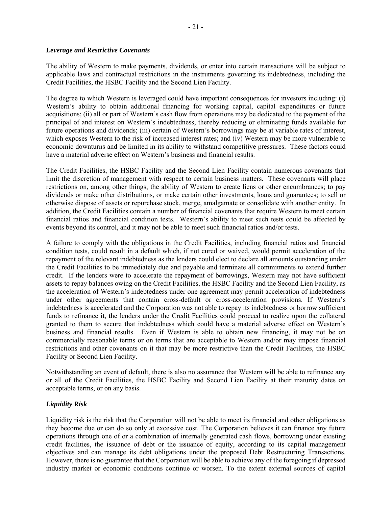#### *Leverage and Restrictive Covenants*

The ability of Western to make payments, dividends, or enter into certain transactions will be subject to applicable laws and contractual restrictions in the instruments governing its indebtedness, including the Credit Facilities, the HSBC Facility and the Second Lien Facility.

The degree to which Western is leveraged could have important consequences for investors including: (i) Western's ability to obtain additional financing for working capital, capital expenditures or future acquisitions; (ii) all or part of Western's cash flow from operations may be dedicated to the payment of the principal of and interest on Western's indebtedness, thereby reducing or eliminating funds available for future operations and dividends; (iii) certain of Western's borrowings may be at variable rates of interest, which exposes Western to the risk of increased interest rates; and (iv) Western may be more vulnerable to economic downturns and be limited in its ability to withstand competitive pressures. These factors could have a material adverse effect on Western's business and financial results.

The Credit Facilities, the HSBC Facility and the Second Lien Facility contain numerous covenants that limit the discretion of management with respect to certain business matters. These covenants will place restrictions on, among other things, the ability of Western to create liens or other encumbrances; to pay dividends or make other distributions, or make certain other investments, loans and guarantees; to sell or otherwise dispose of assets or repurchase stock, merge, amalgamate or consolidate with another entity. In addition, the Credit Facilities contain a number of financial covenants that require Western to meet certain financial ratios and financial condition tests. Western's ability to meet such tests could be affected by events beyond its control, and it may not be able to meet such financial ratios and/or tests.

A failure to comply with the obligations in the Credit Facilities, including financial ratios and financial condition tests, could result in a default which, if not cured or waived, would permit acceleration of the repayment of the relevant indebtedness as the lenders could elect to declare all amounts outstanding under the Credit Facilities to be immediately due and payable and terminate all commitments to extend further credit. If the lenders were to accelerate the repayment of borrowings, Western may not have sufficient assets to repay balances owing on the Credit Facilities, the HSBC Facility and the Second Lien Facility, as the acceleration of Western's indebtedness under one agreement may permit acceleration of indebtedness under other agreements that contain cross-default or cross-acceleration provisions. If Western's indebtedness is accelerated and the Corporation was not able to repay its indebtedness or borrow sufficient funds to refinance it, the lenders under the Credit Facilities could proceed to realize upon the collateral granted to them to secure that indebtedness which could have a material adverse effect on Western's business and financial results. Even if Western is able to obtain new financing, it may not be on commercially reasonable terms or on terms that are acceptable to Western and/or may impose financial restrictions and other covenants on it that may be more restrictive than the Credit Facilities, the HSBC Facility or Second Lien Facility.

Notwithstanding an event of default, there is also no assurance that Western will be able to refinance any or all of the Credit Facilities, the HSBC Facility and Second Lien Facility at their maturity dates on acceptable terms, or on any basis.

## *Liquidity Risk*

Liquidity risk is the risk that the Corporation will not be able to meet its financial and other obligations as they become due or can do so only at excessive cost. The Corporation believes it can finance any future operations through one of or a combination of internally generated cash flows, borrowing under existing credit facilities, the issuance of debt or the issuance of equity, according to its capital management objectives and can manage its debt obligations under the proposed Debt Restructuring Transactions. However, there is no guarantee that the Corporation will be able to achieve any of the foregoing if depressed industry market or economic conditions continue or worsen. To the extent external sources of capital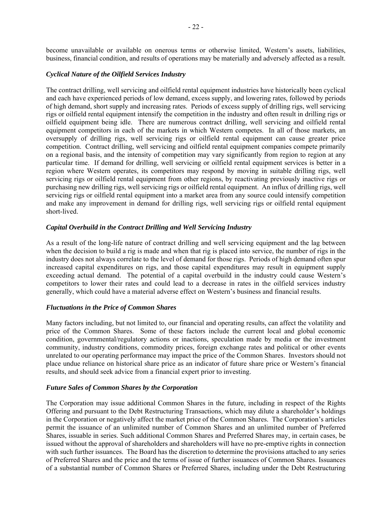become unavailable or available on onerous terms or otherwise limited, Western's assets, liabilities, business, financial condition, and results of operations may be materially and adversely affected as a result.

## *Cyclical Nature of the Oilfield Services Industry*

The contract drilling, well servicing and oilfield rental equipment industries have historically been cyclical and each have experienced periods of low demand, excess supply, and lowering rates, followed by periods of high demand, short supply and increasing rates. Periods of excess supply of drilling rigs, well servicing rigs or oilfield rental equipment intensify the competition in the industry and often result in drilling rigs or oilfield equipment being idle. There are numerous contract drilling, well servicing and oilfield rental equipment competitors in each of the markets in which Western competes. In all of those markets, an oversupply of drilling rigs, well servicing rigs or oilfield rental equipment can cause greater price competition. Contract drilling, well servicing and oilfield rental equipment companies compete primarily on a regional basis, and the intensity of competition may vary significantly from region to region at any particular time. If demand for drilling, well servicing or oilfield rental equipment services is better in a region where Western operates, its competitors may respond by moving in suitable drilling rigs, well servicing rigs or oilfield rental equipment from other regions, by reactivating previously inactive rigs or purchasing new drilling rigs, well servicing rigs or oilfield rental equipment. An influx of drilling rigs, well servicing rigs or oilfield rental equipment into a market area from any source could intensify competition and make any improvement in demand for drilling rigs, well servicing rigs or oilfield rental equipment short-lived.

#### *Capital Overbuild in the Contract Drilling and Well Servicing Industry*

As a result of the long-life nature of contract drilling and well servicing equipment and the lag between when the decision to build a rig is made and when that rig is placed into service, the number of rigs in the industry does not always correlate to the level of demand for those rigs. Periods of high demand often spur increased capital expenditures on rigs, and those capital expenditures may result in equipment supply exceeding actual demand. The potential of a capital overbuild in the industry could cause Western's competitors to lower their rates and could lead to a decrease in rates in the oilfield services industry generally, which could have a material adverse effect on Western's business and financial results.

#### *Fluctuations in the Price of Common Shares*

Many factors including, but not limited to, our financial and operating results, can affect the volatility and price of the Common Shares. Some of these factors include the current local and global economic condition, governmental/regulatory actions or inactions, speculation made by media or the investment community, industry conditions, commodity prices, foreign exchange rates and political or other events unrelated to our operating performance may impact the price of the Common Shares. Investors should not place undue reliance on historical share price as an indicator of future share price or Western's financial results, and should seek advice from a financial expert prior to investing.

#### *Future Sales of Common Shares by the Corporation*

The Corporation may issue additional Common Shares in the future, including in respect of the Rights Offering and pursuant to the Debt Restructuring Transactions, which may dilute a shareholder's holdings in the Corporation or negatively affect the market price of the Common Shares. The Corporation's articles permit the issuance of an unlimited number of Common Shares and an unlimited number of Preferred Shares, issuable in series. Such additional Common Shares and Preferred Shares may, in certain cases, be issued without the approval of shareholders and shareholders will have no pre-emptive rights in connection with such further issuances. The Board has the discretion to determine the provisions attached to any series of Preferred Shares and the price and the terms of issue of further issuances of Common Shares. Issuances of a substantial number of Common Shares or Preferred Shares, including under the Debt Restructuring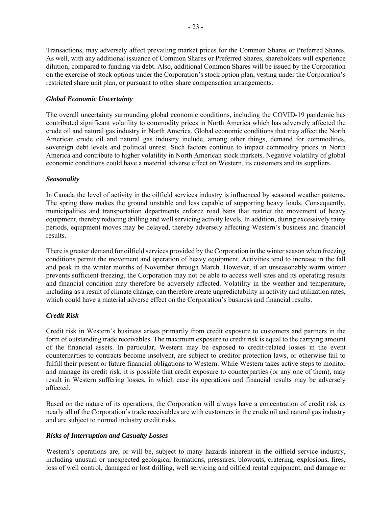Transactions, may adversely affect prevailing market prices for the Common Shares or Preferred Shares. As well, with any additional issuance of Common Shares or Preferred Shares, shareholders will experience dilution, compared to funding via debt. Also, additional Common Shares will be issued by the Corporation on the exercise of stock options under the Corporation's stock option plan, vesting under the Corporation's restricted share unit plan, or pursuant to other share compensation arrangements.

## *Global Economic Uncertainty*

The overall uncertainty surrounding global economic conditions, including the COVID-19 pandemic has contributed significant volatility to commodity prices in North America which has adversely affected the crude oil and natural gas industry in North America. Global economic conditions that may affect the North American crude oil and natural gas industry include, among other things, demand for commodities, sovereign debt levels and political unrest. Such factors continue to impact commodity prices in North America and contribute to higher volatility in North American stock markets. Negative volatility of global economic conditions could have a material adverse effect on Western, its customers and its suppliers.

#### *Seasonality*

In Canada the level of activity in the oilfield services industry is influenced by seasonal weather patterns. The spring thaw makes the ground unstable and less capable of supporting heavy loads. Consequently, municipalities and transportation departments enforce road bans that restrict the movement of heavy equipment, thereby reducing drilling and well servicing activity levels. In addition, during excessively rainy periods, equipment moves may be delayed, thereby adversely affecting Western's business and financial results.

There is greater demand for oilfield services provided by the Corporation in the winter season when freezing conditions permit the movement and operation of heavy equipment. Activities tend to increase in the fall and peak in the winter months of November through March. However, if an unseasonably warm winter prevents sufficient freezing, the Corporation may not be able to access well sites and its operating results and financial condition may therefore be adversely affected. Volatility in the weather and temperature, including as a result of climate change, can therefore create unpredictability in activity and utilization rates, which could have a material adverse effect on the Corporation's business and financial results.

## *Credit Risk*

Credit risk in Western's business arises primarily from credit exposure to customers and partners in the form of outstanding trade receivables. The maximum exposure to credit risk is equal to the carrying amount of the financial assets. In particular, Western may be exposed to credit-related losses in the event counterparties to contracts become insolvent, are subject to creditor protection laws, or otherwise fail to fulfill their present or future financial obligations to Western. While Western takes active steps to monitor and manage its credit risk, it is possible that credit exposure to counterparties (or any one of them), may result in Western suffering losses, in which case its operations and financial results may be adversely affected.

Based on the nature of its operations, the Corporation will always have a concentration of credit risk as nearly all of the Corporation's trade receivables are with customers in the crude oil and natural gas industry and are subject to normal industry credit risks.

## *Risks of Interruption and Casualty Losses*

Western's operations are, or will be, subject to many hazards inherent in the oilfield service industry, including unusual or unexpected geological formations, pressures, blowouts, cratering, explosions, fires, loss of well control, damaged or lost drilling, well servicing and oilfield rental equipment, and damage or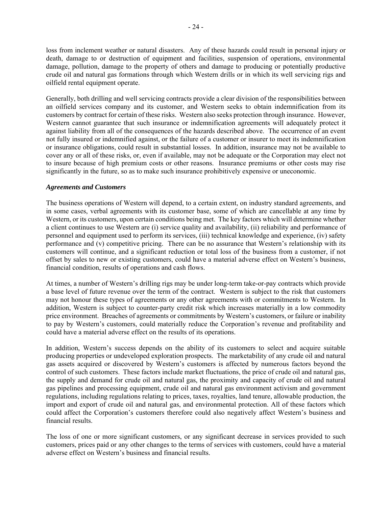loss from inclement weather or natural disasters. Any of these hazards could result in personal injury or death, damage to or destruction of equipment and facilities, suspension of operations, environmental damage, pollution, damage to the property of others and damage to producing or potentially productive crude oil and natural gas formations through which Western drills or in which its well servicing rigs and oilfield rental equipment operate.

Generally, both drilling and well servicing contracts provide a clear division of the responsibilities between an oilfield services company and its customer, and Western seeks to obtain indemnification from its customers by contract for certain of these risks. Western also seeks protection through insurance. However, Western cannot guarantee that such insurance or indemnification agreements will adequately protect it against liability from all of the consequences of the hazards described above. The occurrence of an event not fully insured or indemnified against, or the failure of a customer or insurer to meet its indemnification or insurance obligations, could result in substantial losses. In addition, insurance may not be available to cover any or all of these risks, or, even if available, may not be adequate or the Corporation may elect not to insure because of high premium costs or other reasons. Insurance premiums or other costs may rise significantly in the future, so as to make such insurance prohibitively expensive or uneconomic.

#### *Agreements and Customers*

The business operations of Western will depend, to a certain extent, on industry standard agreements, and in some cases, verbal agreements with its customer base, some of which are cancellable at any time by Western, or its customers, upon certain conditions being met. The key factors which will determine whether a client continues to use Western are (i) service quality and availability, (ii) reliability and performance of personnel and equipment used to perform its services, (iii) technical knowledge and experience, (iv) safety performance and (v) competitive pricing. There can be no assurance that Western's relationship with its customers will continue, and a significant reduction or total loss of the business from a customer, if not offset by sales to new or existing customers, could have a material adverse effect on Western's business, financial condition, results of operations and cash flows.

At times, a number of Western's drilling rigs may be under long-term take-or-pay contracts which provide a base level of future revenue over the term of the contract. Western is subject to the risk that customers may not honour these types of agreements or any other agreements with or commitments to Western. In addition, Western is subject to counter-party credit risk which increases materially in a low commodity price environment. Breaches of agreements or commitments by Western's customers, or failure or inability to pay by Western's customers, could materially reduce the Corporation's revenue and profitability and could have a material adverse effect on the results of its operations.

In addition, Western's success depends on the ability of its customers to select and acquire suitable producing properties or undeveloped exploration prospects. The marketability of any crude oil and natural gas assets acquired or discovered by Western's customers is affected by numerous factors beyond the control of such customers. These factors include market fluctuations, the price of crude oil and natural gas, the supply and demand for crude oil and natural gas, the proximity and capacity of crude oil and natural gas pipelines and processing equipment, crude oil and natural gas environment activism and government regulations, including regulations relating to prices, taxes, royalties, land tenure, allowable production, the import and export of crude oil and natural gas, and environmental protection. All of these factors which could affect the Corporation's customers therefore could also negatively affect Western's business and financial results.

The loss of one or more significant customers, or any significant decrease in services provided to such customers, prices paid or any other changes to the terms of services with customers, could have a material adverse effect on Western's business and financial results.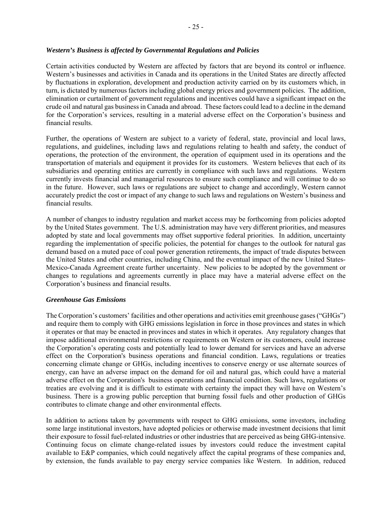## *Western's Business is affected by Governmental Regulations and Policies*

Certain activities conducted by Western are affected by factors that are beyond its control or influence. Western's businesses and activities in Canada and its operations in the United States are directly affected by fluctuations in exploration, development and production activity carried on by its customers which, in turn, is dictated by numerous factors including global energy prices and government policies. The addition, elimination or curtailment of government regulations and incentives could have a significant impact on the crude oil and natural gas business in Canada and abroad. These factors could lead to a decline in the demand for the Corporation's services, resulting in a material adverse effect on the Corporation's business and financial results.

Further, the operations of Western are subject to a variety of federal, state, provincial and local laws, regulations, and guidelines, including laws and regulations relating to health and safety, the conduct of operations, the protection of the environment, the operation of equipment used in its operations and the transportation of materials and equipment it provides for its customers. Western believes that each of its subsidiaries and operating entities are currently in compliance with such laws and regulations. Western currently invests financial and managerial resources to ensure such compliance and will continue to do so in the future. However, such laws or regulations are subject to change and accordingly, Western cannot accurately predict the cost or impact of any change to such laws and regulations on Western's business and financial results.

A number of changes to industry regulation and market access may be forthcoming from policies adopted by the United States government. The U.S. administration may have very different priorities, and measures adopted by state and local governments may offset supportive federal priorities. In addition, uncertainty regarding the implementation of specific policies, the potential for changes to the outlook for natural gas demand based on a muted pace of coal power generation retirements, the impact of trade disputes between the United States and other countries, including China, and the eventual impact of the new United States-Mexico-Canada Agreement create further uncertainty. New policies to be adopted by the government or changes to regulations and agreements currently in place may have a material adverse effect on the Corporation's business and financial results.

#### *Greenhouse Gas Emissions*

The Corporation's customers' facilities and other operations and activities emit greenhouse gases ("GHGs") and require them to comply with GHG emissions legislation in force in those provinces and states in which it operates or that may be enacted in provinces and states in which it operates. Any regulatory changes that impose additional environmental restrictions or requirements on Western or its customers, could increase the Corporation's operating costs and potentially lead to lower demand for services and have an adverse effect on the Corporation's business operations and financial condition. Laws, regulations or treaties concerning climate change or GHGs, including incentives to conserve energy or use alternate sources of energy, can have an adverse impact on the demand for oil and natural gas, which could have a material adverse effect on the Corporation's business operations and financial condition. Such laws, regulations or treaties are evolving and it is difficult to estimate with certainty the impact they will have on Western's business. There is a growing public perception that burning fossil fuels and other production of GHGs contributes to climate change and other environmental effects.

In addition to actions taken by governments with respect to GHG emissions, some investors, including some large institutional investors, have adopted policies or otherwise made investment decisions that limit their exposure to fossil fuel-related industries or other industries that are perceived as being GHG-intensive. Continuing focus on climate change-related issues by investors could reduce the investment capital available to E&P companies, which could negatively affect the capital programs of these companies and, by extension, the funds available to pay energy service companies like Western. In addition, reduced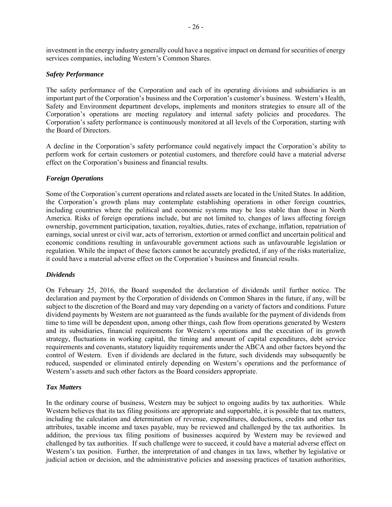investment in the energy industry generally could have a negative impact on demand for securities of energy services companies, including Western's Common Shares.

#### *Safety Performance*

The safety performance of the Corporation and each of its operating divisions and subsidiaries is an important part of the Corporation's business and the Corporation's customer's business. Western's Health, Safety and Environment department develops, implements and monitors strategies to ensure all of the Corporation's operations are meeting regulatory and internal safety policies and procedures. The Corporation's safety performance is continuously monitored at all levels of the Corporation, starting with the Board of Directors.

A decline in the Corporation's safety performance could negatively impact the Corporation's ability to perform work for certain customers or potential customers, and therefore could have a material adverse effect on the Corporation's business and financial results.

## *Foreign Operations*

Some of the Corporation's current operations and related assets are located in the United States. In addition, the Corporation's growth plans may contemplate establishing operations in other foreign countries, including countries where the political and economic systems may be less stable than those in North America. Risks of foreign operations include, but are not limited to, changes of laws affecting foreign ownership, government participation, taxation, royalties, duties, rates of exchange, inflation, repatriation of earnings, social unrest or civil war, acts of terrorism, extortion or armed conflict and uncertain political and economic conditions resulting in unfavourable government actions such as unfavourable legislation or regulation. While the impact of these factors cannot be accurately predicted, if any of the risks materialize, it could have a material adverse effect on the Corporation's business and financial results.

## *Dividends*

On February 25, 2016, the Board suspended the declaration of dividends until further notice. The declaration and payment by the Corporation of dividends on Common Shares in the future, if any, will be subject to the discretion of the Board and may vary depending on a variety of factors and conditions. Future dividend payments by Western are not guaranteed as the funds available for the payment of dividends from time to time will be dependent upon, among other things, cash flow from operations generated by Western and its subsidiaries, financial requirements for Western's operations and the execution of its growth strategy, fluctuations in working capital, the timing and amount of capital expenditures, debt service requirements and covenants, statutory liquidity requirements under the ABCA and other factors beyond the control of Western. Even if dividends are declared in the future, such dividends may subsequently be reduced, suspended or eliminated entirely depending on Western's operations and the performance of Western's assets and such other factors as the Board considers appropriate.

#### *Tax Matters*

In the ordinary course of business, Western may be subject to ongoing audits by tax authorities. While Western believes that its tax filing positions are appropriate and supportable, it is possible that tax matters, including the calculation and determination of revenue, expenditures, deductions, credits and other tax attributes, taxable income and taxes payable, may be reviewed and challenged by the tax authorities. In addition, the previous tax filing positions of businesses acquired by Western may be reviewed and challenged by tax authorities. If such challenge were to succeed, it could have a material adverse effect on Western's tax position. Further, the interpretation of and changes in tax laws, whether by legislative or judicial action or decision, and the administrative policies and assessing practices of taxation authorities,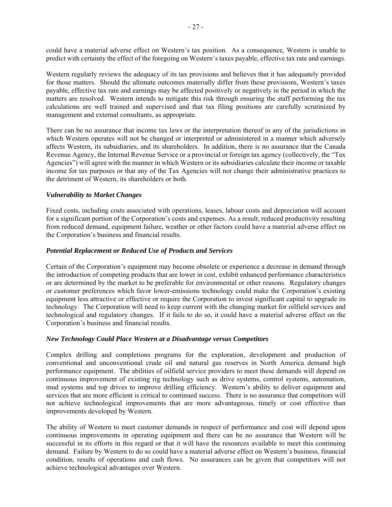could have a material adverse effect on Western's tax position. As a consequence, Western is unable to predict with certainty the effect of the foregoing on Western's taxes payable, effective tax rate and earnings.

Western regularly reviews the adequacy of its tax provisions and believes that it has adequately provided for those matters. Should the ultimate outcomes materially differ from these provisions, Western's taxes payable, effective tax rate and earnings may be affected positively or negatively in the period in which the matters are resolved. Western intends to mitigate this risk through ensuring the staff performing the tax calculations are well trained and supervised and that tax filing positions are carefully scrutinized by management and external consultants, as appropriate.

There can be no assurance that income tax laws or the interpretation thereof in any of the jurisdictions in which Western operates will not be changed or interpreted or administered in a manner which adversely affects Western, its subsidiaries, and its shareholders. In addition, there is no assurance that the Canada Revenue Agency, the Internal Revenue Service or a provincial or foreign tax agency (collectively, the "Tax Agencies") will agree with the manner in which Western or its subsidiaries calculate their income or taxable income for tax purposes or that any of the Tax Agencies will not change their administrative practices to the detriment of Western, its shareholders or both.

#### *Vulnerability to Market Changes*

Fixed costs, including costs associated with operations, leases, labour costs and depreciation will account for a significant portion of the Corporation's costs and expenses. As a result, reduced productivity resulting from reduced demand, equipment failure, weather or other factors could have a material adverse effect on the Corporation's business and financial results.

#### *Potential Replacement or Reduced Use of Products and Services*

Certain of the Corporation's equipment may become obsolete or experience a decrease in demand through the introduction of competing products that are lower in cost, exhibit enhanced performance characteristics or are determined by the market to be preferable for environmental or other reasons. Regulatory changes or customer preferences which favor lower-emissions technology could make the Corporation's existing equipment less attractive or effective or require the Corporation to invest significant capital to upgrade its technology. The Corporation will need to keep current with the changing market for oilfield services and technological and regulatory changes. If it fails to do so, it could have a material adverse effect on the Corporation's business and financial results.

#### *New Technology Could Place Western at a Disadvantage versus Competitors*

Complex drilling and completions programs for the exploration, development and production of conventional and unconventional crude oil and natural gas reserves in North America demand high performance equipment. The abilities of oilfield service providers to meet these demands will depend on continuous improvement of existing rig technology such as drive systems, control systems, automation, mud systems and top drives to improve drilling efficiency. Western's ability to deliver equipment and services that are more efficient is critical to continued success. There is no assurance that competitors will not achieve technological improvements that are more advantageous, timely or cost effective than improvements developed by Western.

The ability of Western to meet customer demands in respect of performance and cost will depend upon continuous improvements in operating equipment and there can be no assurance that Western will be successful in its efforts in this regard or that it will have the resources available to meet this continuing demand. Failure by Western to do so could have a material adverse effect on Western's business, financial condition, results of operations and cash flows. No assurances can be given that competitors will not achieve technological advantages over Western.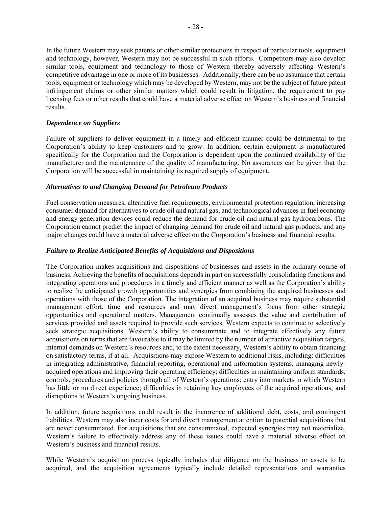In the future Western may seek patents or other similar protections in respect of particular tools, equipment and technology, however, Western may not be successful in such efforts. Competitors may also develop similar tools, equipment and technology to those of Western thereby adversely affecting Western's competitive advantage in one or more of its businesses. Additionally, there can be no assurance that certain tools, equipment or technology which may be developed by Western, may not be the subject of future patent infringement claims or other similar matters which could result in litigation, the requirement to pay licensing fees or other results that could have a material adverse effect on Western's business and financial results.

#### *Dependence on Suppliers*

Failure of suppliers to deliver equipment in a timely and efficient manner could be detrimental to the Corporation's ability to keep customers and to grow. In addition, certain equipment is manufactured specifically for the Corporation and the Corporation is dependent upon the continued availability of the manufacturer and the maintenance of the quality of manufacturing. No assurances can be given that the Corporation will be successful in maintaining its required supply of equipment.

#### *Alternatives to and Changing Demand for Petroleum Products*

Fuel conservation measures, alternative fuel requirements, environmental protection regulation, increasing consumer demand for alternatives to crude oil and natural gas, and technological advances in fuel economy and energy generation devices could reduce the demand for crude oil and natural gas hydrocarbons. The Corporation cannot predict the impact of changing demand for crude oil and natural gas products, and any major changes could have a material adverse effect on the Corporation's business and financial results.

#### *Failure to Realize Anticipated Benefits of Acquisitions and Dispositions*

The Corporation makes acquisitions and dispositions of businesses and assets in the ordinary course of business. Achieving the benefits of acquisitions depends in part on successfully consolidating functions and integrating operations and procedures in a timely and efficient manner as well as the Corporation's ability to realize the anticipated growth opportunities and synergies from combining the acquired businesses and operations with those of the Corporation. The integration of an acquired business may require substantial management effort, time and resources and may divert management's focus from other strategic opportunities and operational matters. Management continually assesses the value and contribution of services provided and assets required to provide such services. Western expects to continue to selectively seek strategic acquisitions. Western's ability to consummate and to integrate effectively any future acquisitions on terms that are favourable to it may be limited by the number of attractive acquisition targets, internal demands on Western's resources and, to the extent necessary, Western's ability to obtain financing on satisfactory terms, if at all. Acquisitions may expose Western to additional risks, including: difficulties in integrating administrative, financial reporting, operational and information systems; managing newlyacquired operations and improving their operating efficiency; difficulties in maintaining uniform standards, controls, procedures and policies through all of Western's operations; entry into markets in which Western has little or no direct experience; difficulties in retaining key employees of the acquired operations; and disruptions to Western's ongoing business.

In addition, future acquisitions could result in the incurrence of additional debt, costs, and contingent liabilities. Western may also incur costs for and divert management attention to potential acquisitions that are never consummated. For acquisitions that are consummated, expected synergies may not materialize. Western's failure to effectively address any of these issues could have a material adverse effect on Western's business and financial results.

While Western's acquisition process typically includes due diligence on the business or assets to be acquired, and the acquisition agreements typically include detailed representations and warranties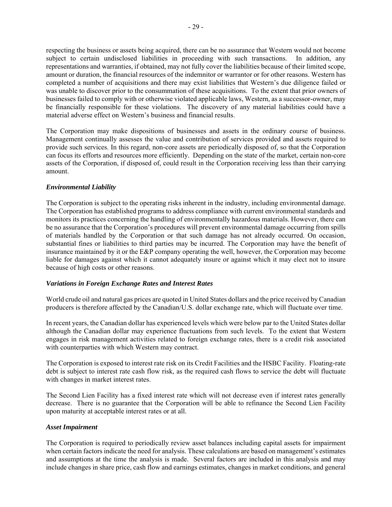respecting the business or assets being acquired, there can be no assurance that Western would not become subject to certain undisclosed liabilities in proceeding with such transactions. In addition, any representations and warranties, if obtained, may not fully cover the liabilities because of their limited scope, amount or duration, the financial resources of the indemnitor or warrantor or for other reasons. Western has completed a number of acquisitions and there may exist liabilities that Western's due diligence failed or was unable to discover prior to the consummation of these acquisitions. To the extent that prior owners of businesses failed to comply with or otherwise violated applicable laws, Western, as a successor-owner, may be financially responsible for these violations. The discovery of any material liabilities could have a material adverse effect on Western's business and financial results.

The Corporation may make dispositions of businesses and assets in the ordinary course of business. Management continually assesses the value and contribution of services provided and assets required to provide such services. In this regard, non-core assets are periodically disposed of, so that the Corporation can focus its efforts and resources more efficiently. Depending on the state of the market, certain non-core assets of the Corporation, if disposed of, could result in the Corporation receiving less than their carrying amount.

## *Environmental Liability*

The Corporation is subject to the operating risks inherent in the industry, including environmental damage. The Corporation has established programs to address compliance with current environmental standards and monitors its practices concerning the handling of environmentally hazardous materials. However, there can be no assurance that the Corporation's procedures will prevent environmental damage occurring from spills of materials handled by the Corporation or that such damage has not already occurred. On occasion, substantial fines or liabilities to third parties may be incurred. The Corporation may have the benefit of insurance maintained by it or the E&P company operating the well, however, the Corporation may become liable for damages against which it cannot adequately insure or against which it may elect not to insure because of high costs or other reasons.

## *Variations in Foreign Exchange Rates and Interest Rates*

World crude oil and natural gas prices are quoted in United States dollars and the price received by Canadian producers is therefore affected by the Canadian/U.S. dollar exchange rate, which will fluctuate over time.

In recent years, the Canadian dollar has experienced levels which were below par to the United States dollar although the Canadian dollar may experience fluctuations from such levels. To the extent that Western engages in risk management activities related to foreign exchange rates, there is a credit risk associated with counterparties with which Western may contract.

The Corporation is exposed to interest rate risk on its Credit Facilities and the HSBC Facility. Floating-rate debt is subject to interest rate cash flow risk, as the required cash flows to service the debt will fluctuate with changes in market interest rates.

The Second Lien Facility has a fixed interest rate which will not decrease even if interest rates generally decrease. There is no guarantee that the Corporation will be able to refinance the Second Lien Facility upon maturity at acceptable interest rates or at all.

## *Asset Impairment*

The Corporation is required to periodically review asset balances including capital assets for impairment when certain factors indicate the need for analysis. These calculations are based on management's estimates and assumptions at the time the analysis is made. Several factors are included in this analysis and may include changes in share price, cash flow and earnings estimates, changes in market conditions, and general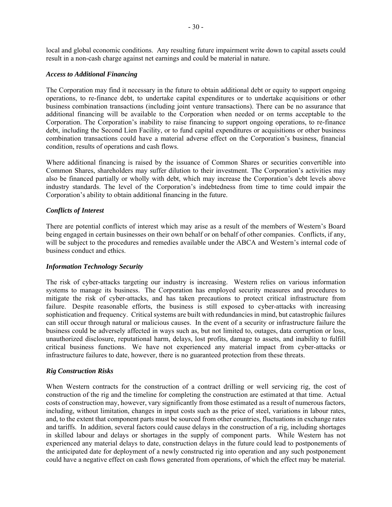local and global economic conditions. Any resulting future impairment write down to capital assets could result in a non-cash charge against net earnings and could be material in nature.

#### *Access to Additional Financing*

The Corporation may find it necessary in the future to obtain additional debt or equity to support ongoing operations, to re-finance debt, to undertake capital expenditures or to undertake acquisitions or other business combination transactions (including joint venture transactions). There can be no assurance that additional financing will be available to the Corporation when needed or on terms acceptable to the Corporation. The Corporation's inability to raise financing to support ongoing operations, to re-finance debt, including the Second Lien Facility, or to fund capital expenditures or acquisitions or other business combination transactions could have a material adverse effect on the Corporation's business, financial condition, results of operations and cash flows.

Where additional financing is raised by the issuance of Common Shares or securities convertible into Common Shares, shareholders may suffer dilution to their investment. The Corporation's activities may also be financed partially or wholly with debt, which may increase the Corporation's debt levels above industry standards. The level of the Corporation's indebtedness from time to time could impair the Corporation's ability to obtain additional financing in the future.

#### *Conflicts of Interest*

There are potential conflicts of interest which may arise as a result of the members of Western's Board being engaged in certain businesses on their own behalf or on behalf of other companies. Conflicts, if any, will be subject to the procedures and remedies available under the ABCA and Western's internal code of business conduct and ethics.

#### *Information Technology Security*

The risk of cyber-attacks targeting our industry is increasing. Western relies on various information systems to manage its business. The Corporation has employed security measures and procedures to mitigate the risk of cyber-attacks, and has taken precautions to protect critical infrastructure from failure. Despite reasonable efforts, the business is still exposed to cyber-attacks with increasing sophistication and frequency. Critical systems are built with redundancies in mind, but catastrophic failures can still occur through natural or malicious causes. In the event of a security or infrastructure failure the business could be adversely affected in ways such as, but not limited to, outages, data corruption or loss, unauthorized disclosure, reputational harm, delays, lost profits, damage to assets, and inability to fulfill critical business functions. We have not experienced any material impact from cyber-attacks or infrastructure failures to date, however, there is no guaranteed protection from these threats.

#### *Rig Construction Risks*

When Western contracts for the construction of a contract drilling or well servicing rig, the cost of construction of the rig and the timeline for completing the construction are estimated at that time. Actual costs of construction may, however, vary significantly from those estimated as a result of numerous factors, including, without limitation, changes in input costs such as the price of steel, variations in labour rates, and, to the extent that component parts must be sourced from other countries, fluctuations in exchange rates and tariffs. In addition, several factors could cause delays in the construction of a rig, including shortages in skilled labour and delays or shortages in the supply of component parts. While Western has not experienced any material delays to date, construction delays in the future could lead to postponements of the anticipated date for deployment of a newly constructed rig into operation and any such postponement could have a negative effect on cash flows generated from operations, of which the effect may be material.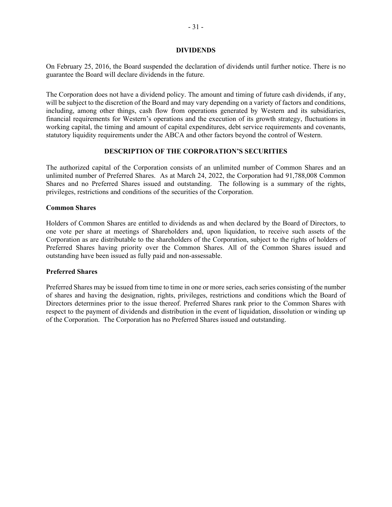#### **DIVIDENDS**

On February 25, 2016, the Board suspended the declaration of dividends until further notice. There is no guarantee the Board will declare dividends in the future.

The Corporation does not have a dividend policy. The amount and timing of future cash dividends, if any, will be subject to the discretion of the Board and may vary depending on a variety of factors and conditions, including, among other things, cash flow from operations generated by Western and its subsidiaries, financial requirements for Western's operations and the execution of its growth strategy, fluctuations in working capital, the timing and amount of capital expenditures, debt service requirements and covenants, statutory liquidity requirements under the ABCA and other factors beyond the control of Western.

#### **DESCRIPTION OF THE CORPORATION'S SECURITIES**

The authorized capital of the Corporation consists of an unlimited number of Common Shares and an unlimited number of Preferred Shares. As at March 24, 2022, the Corporation had 91,788,008 Common Shares and no Preferred Shares issued and outstanding. The following is a summary of the rights, privileges, restrictions and conditions of the securities of the Corporation.

## **Common Shares**

Holders of Common Shares are entitled to dividends as and when declared by the Board of Directors, to one vote per share at meetings of Shareholders and, upon liquidation, to receive such assets of the Corporation as are distributable to the shareholders of the Corporation, subject to the rights of holders of Preferred Shares having priority over the Common Shares. All of the Common Shares issued and outstanding have been issued as fully paid and non-assessable.

## **Preferred Shares**

Preferred Shares may be issued from time to time in one or more series, each series consisting of the number of shares and having the designation, rights, privileges, restrictions and conditions which the Board of Directors determines prior to the issue thereof. Preferred Shares rank prior to the Common Shares with respect to the payment of dividends and distribution in the event of liquidation, dissolution or winding up of the Corporation. The Corporation has no Preferred Shares issued and outstanding.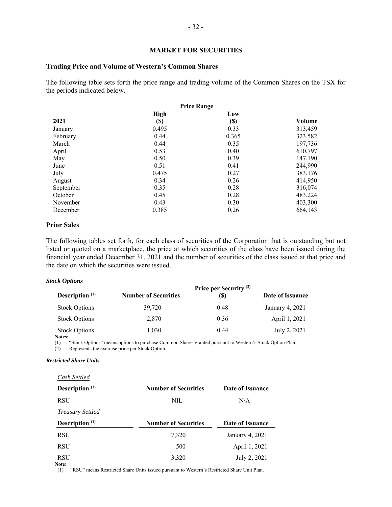#### **MARKET FOR SECURITIES**

#### **Trading Price and Volume of Western's Common Shares**

The following table sets forth the price range and trading volume of the Common Shares on the TSX for the periods indicated below.

|           |             | <b>Price Range</b> |         |
|-----------|-------------|--------------------|---------|
|           | <b>High</b> | Low                |         |
| 2021      | <b>(\$)</b> | $(\$)$             | Volume  |
| January   | 0.495       | 0.33               | 313,459 |
| February  | 0.44        | 0.365              | 323,582 |
| March     | 0.44        | 0.35               | 197,736 |
| April     | 0.53        | 0.40               | 610,797 |
| May       | 0.50        | 0.39               | 147,190 |
| June      | 0.51        | 0.41               | 244,990 |
| July      | 0.475       | 0.27               | 383,176 |
| August    | 0.34        | 0.26               | 414.950 |
| September | 0.35        | 0.28               | 316,074 |
| October   | 0.45        | 0.28               | 483,224 |
| November  | 0.43        | 0.30               | 403,300 |
| December  | 0.385       | 0.26               | 664,143 |

#### **Prior Sales**

The following tables set forth, for each class of securities of the Corporation that is outstanding but not listed or quoted on a marketplace, the price at which securities of the class have been issued during the financial year ended December 31, 2021 and the number of securities of the class issued at that price and the date on which the securities were issued.

#### *Stock Options*

| Description $(1)$                          | <b>Number of Securities</b> | Price per Security <sup>(2)</sup><br>(S) | Date of Issuance |
|--------------------------------------------|-----------------------------|------------------------------------------|------------------|
| <b>Stock Options</b>                       | 39,720                      | 0.48                                     | January 4, 2021  |
| <b>Stock Options</b>                       | 2,870                       | 0.36                                     | April 1, 2021    |
| <b>Stock Options</b><br>Notes <sup>+</sup> | 1,030                       | 0.44                                     | July 2, 2021     |

(1) "Stock Options" means options to purchase Common Shares granted pursuant to Western's Stock Option Plan.<br>(2) Represents the exercise price per Stock Option.

Represents the exercise price per Stock Option.

#### *Restricted Share Units*

*Cash Settled* 

| Description <sup>(1)</sup> | <b>Number of Securities</b> | Date of Issuance |
|----------------------------|-----------------------------|------------------|
| <b>RSU</b>                 | NIL                         | N/A              |
| <b>Treasury Settled</b>    |                             |                  |
| Description $(1)$          | <b>Number of Securities</b> | Date of Issuance |
| <b>RSU</b>                 | 7,320                       | January 4, 2021  |
| <b>RSU</b>                 | 500                         | April 1, 2021    |
| <b>RSU</b><br>Note:        | 3,320                       | July 2, 2021     |

(1) "RSU" means Restricted Share Units issued pursuant to Western's Restricted Share Unit Plan.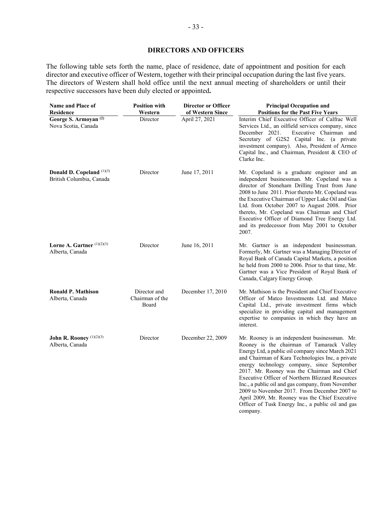## **DIRECTORS AND OFFICERS**

The following table sets forth the name, place of residence, date of appointment and position for each director and executive officer of Western, together with their principal occupation during the last five years. The directors of Western shall hold office until the next annual meeting of shareholders or until their respective successors have been duly elected or appointed**.** 

| <b>Name and Place of</b><br>Residence                   | <b>Position with</b><br>Western          | <b>Director or Officer</b><br>of Western Since | <b>Principal Occupation and</b><br><b>Positions for the Past Five Years</b>                                                                                                                                                                                                                                                                                                                                                                                                                                                                                                  |
|---------------------------------------------------------|------------------------------------------|------------------------------------------------|------------------------------------------------------------------------------------------------------------------------------------------------------------------------------------------------------------------------------------------------------------------------------------------------------------------------------------------------------------------------------------------------------------------------------------------------------------------------------------------------------------------------------------------------------------------------------|
| George S. Armoyan <sup>(2)</sup><br>Nova Scotia, Canada | Director                                 | April 27, 2021                                 | Interim Chief Executive Officer of Calfrac Well<br>Services Ltd., an oilfield services company, since<br>December 2021.<br>Executive Chairman and<br>Secretary of G2S2 Capital Inc. (a private<br>investment company). Also, President of Armco<br>Capital Inc., and Chairman, President & CEO of<br>Clarke Inc.                                                                                                                                                                                                                                                             |
| Donald D. Copeland (1)(3)<br>British Columbia, Canada   | Director                                 | June 17, 2011                                  | Mr. Copeland is a graduate engineer and an<br>independent businessman. Mr. Copeland was a<br>director of Stoneham Drilling Trust from June<br>2008 to June 2011. Prior thereto Mr. Copeland was<br>the Executive Chairman of Upper Lake Oil and Gas<br>Ltd. from October 2007 to August 2008. Prior<br>thereto, Mr. Copeland was Chairman and Chief<br>Executive Officer of Diamond Tree Energy Ltd.<br>and its predecessor from May 2001 to October<br>2007.                                                                                                                |
| Lorne A. Gartner $(1)(2)(3)$<br>Alberta, Canada         | Director                                 | June 16, 2011                                  | Mr. Gartner is an independent businessman.<br>Formerly, Mr. Gartner was a Managing Director of<br>Royal Bank of Canada Capital Markets, a position<br>he held from 2000 to 2006. Prior to that time, Mr.<br>Gartner was a Vice President of Royal Bank of<br>Canada, Calgary Energy Group.                                                                                                                                                                                                                                                                                   |
| <b>Ronald P. Mathison</b><br>Alberta, Canada            | Director and<br>Chairman of the<br>Board | December 17, 2010                              | Mr. Mathison is the President and Chief Executive<br>Officer of Matco Investments Ltd. and Matco<br>Capital Ltd., private investment firms which<br>specialize in providing capital and management<br>expertise to companies in which they have an<br>interest.                                                                                                                                                                                                                                                                                                              |
| John R. Rooney $(1)(2)(3)$<br>Alberta, Canada           | Director                                 | December 22, 2009                              | Mr. Rooney is an independent businessman. Mr.<br>Rooney is the chairman of Tamarack Valley<br>Energy Ltd, a public oil company since March 2021<br>and Chairman of Kara Technologies Inc, a private<br>energy technology company, since September<br>2017. Mr. Rooney was the Chairman and Chief<br>Executive Officer of Northern Blizzard Resources<br>Inc., a public oil and gas company, from November<br>2009 to November 2017. From December 2007 to<br>April 2009, Mr. Rooney was the Chief Executive<br>Officer of Tusk Energy Inc., a public oil and gas<br>company. |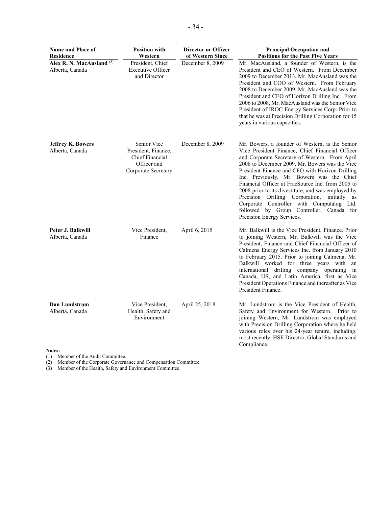| <b>Name and Place of</b><br><b>Residence</b>            | <b>Position with</b><br>Western                                                                    | <b>Director or Officer</b><br>of Western Since | <b>Principal Occupation and</b><br><b>Positions for the Past Five Years</b>                                                                                                                                                                                                                                                                                                                                                                                                                                                                                                              |
|---------------------------------------------------------|----------------------------------------------------------------------------------------------------|------------------------------------------------|------------------------------------------------------------------------------------------------------------------------------------------------------------------------------------------------------------------------------------------------------------------------------------------------------------------------------------------------------------------------------------------------------------------------------------------------------------------------------------------------------------------------------------------------------------------------------------------|
| Alex R. N. MacAusland <sup>(3)</sup><br>Alberta, Canada | President, Chief<br><b>Executive Officer</b><br>and Director                                       | December 8, 2009                               | Mr. MacAusland, a founder of Western, is the<br>President and CEO of Western. From December<br>2009 to December 2013, Mr. MacAusland was the<br>President and COO of Western. From February<br>2008 to December 2009, Mr. MacAusland was the<br>President and CEO of Horizon Drilling Inc. From<br>2006 to 2008, Mr. MacAusland was the Senior Vice<br>President of IROC Energy Services Corp. Prior to<br>that he was at Precision Drilling Corporation for 15<br>years in various capacities.                                                                                          |
| <b>Jeffrey K. Bowers</b><br>Alberta, Canada             | Senior Vice<br>President, Finance,<br><b>Chief Financial</b><br>Officer and<br>Corporate Secretary | December 8, 2009                               | Mr. Bowers, a founder of Western, is the Senior<br>Vice President Finance, Chief Financial Officer<br>and Corporate Secretary of Western. From April<br>2008 to December 2009, Mr. Bowers was the Vice<br>President Finance and CFO with Horizon Drilling<br>Inc. Previously, Mr. Bowers was the Chief<br>Financial Officer at FracSource Inc. from 2005 to<br>2008 prior to its divestiture, and was employed by<br>Precision Drilling Corporation, initially as<br>Corporate Controller with Computalog Ltd.<br>followed by Group Controller, Canada for<br>Precision Energy Services. |
| Peter J. Balkwill<br>Alberta, Canada                    | Vice President,<br>Finance                                                                         | April 6, 2015                                  | Mr. Balkwill is the Vice President, Finance. Prior<br>to joining Western, Mr. Balkwill was the Vice<br>President, Finance and Chief Financial Officer of<br>Calmena Energy Services Inc. from January 2010<br>to February 2015. Prior to joining Calmena, Mr.<br>Balkwill worked for three years with an<br>international drilling company operating in<br>Canada, US, and Latin America, first as Vice<br>President Operations Finance and thereafter as Vice<br>President Finance.                                                                                                     |
| Dan Lundstrom<br>Alberta, Canada                        | Vice President,<br>Health, Safety and<br>Environment                                               | April 25, 2018                                 | Mr. Lundstrom is the Vice President of Health,<br>Safety and Environment for Western. Prior to<br>joining Western, Mr. Lundstrom was employed<br>with Precision Drilling Corporation where he held<br>various roles over his 24-year tenure, including,<br>most recently, HSE Director, Global Standards and<br>Compliance.                                                                                                                                                                                                                                                              |

**Notes:** 

(1) Member of the Audit Committee.

(2) Member of the Corporate Governance and Compensation Committee.

(3) Member of the Health, Safety and Environment Committee.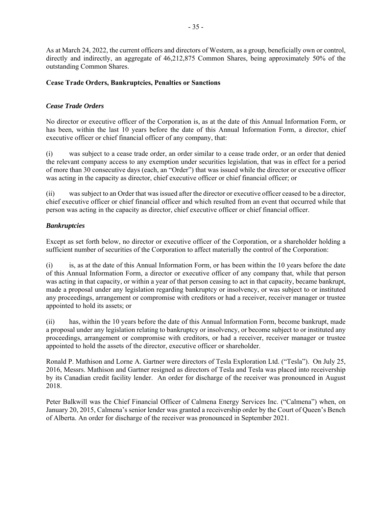As at March 24, 2022, the current officers and directors of Western, as a group, beneficially own or control, directly and indirectly, an aggregate of 46,212,875 Common Shares, being approximately 50% of the outstanding Common Shares.

## **Cease Trade Orders, Bankruptcies, Penalties or Sanctions**

## *Cease Trade Orders*

No director or executive officer of the Corporation is, as at the date of this Annual Information Form, or has been, within the last 10 years before the date of this Annual Information Form, a director, chief executive officer or chief financial officer of any company, that:

(i) was subject to a cease trade order, an order similar to a cease trade order, or an order that denied the relevant company access to any exemption under securities legislation, that was in effect for a period of more than 30 consecutive days (each, an "Order") that was issued while the director or executive officer was acting in the capacity as director, chief executive officer or chief financial officer; or

(ii) was subject to an Order that was issued after the director or executive officer ceased to be a director, chief executive officer or chief financial officer and which resulted from an event that occurred while that person was acting in the capacity as director, chief executive officer or chief financial officer.

## *Bankruptcies*

Except as set forth below, no director or executive officer of the Corporation, or a shareholder holding a sufficient number of securities of the Corporation to affect materially the control of the Corporation:

(i) is, as at the date of this Annual Information Form, or has been within the 10 years before the date of this Annual Information Form, a director or executive officer of any company that, while that person was acting in that capacity, or within a year of that person ceasing to act in that capacity, became bankrupt, made a proposal under any legislation regarding bankruptcy or insolvency, or was subject to or instituted any proceedings, arrangement or compromise with creditors or had a receiver, receiver manager or trustee appointed to hold its assets; or

(ii) has, within the 10 years before the date of this Annual Information Form, become bankrupt, made a proposal under any legislation relating to bankruptcy or insolvency, or become subject to or instituted any proceedings, arrangement or compromise with creditors, or had a receiver, receiver manager or trustee appointed to hold the assets of the director, executive officer or shareholder.

Ronald P. Mathison and Lorne A. Gartner were directors of Tesla Exploration Ltd. ("Tesla"). On July 25, 2016, Messrs. Mathison and Gartner resigned as directors of Tesla and Tesla was placed into receivership by its Canadian credit facility lender. An order for discharge of the receiver was pronounced in August 2018.

Peter Balkwill was the Chief Financial Officer of Calmena Energy Services Inc. ("Calmena") when, on January 20, 2015, Calmena's senior lender was granted a receivership order by the Court of Queen's Bench of Alberta. An order for discharge of the receiver was pronounced in September 2021.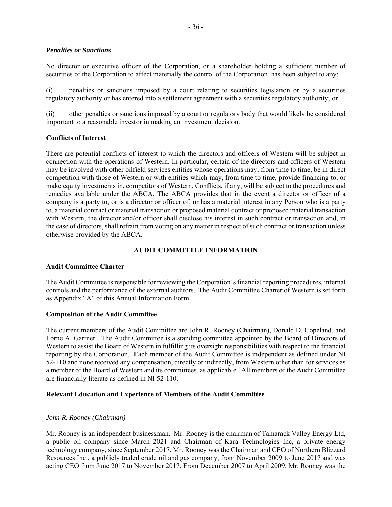#### *Penalties or Sanctions*

No director or executive officer of the Corporation, or a shareholder holding a sufficient number of securities of the Corporation to affect materially the control of the Corporation, has been subject to any:

(i) penalties or sanctions imposed by a court relating to securities legislation or by a securities regulatory authority or has entered into a settlement agreement with a securities regulatory authority; or

(ii) other penalties or sanctions imposed by a court or regulatory body that would likely be considered important to a reasonable investor in making an investment decision.

#### **Conflicts of Interest**

There are potential conflicts of interest to which the directors and officers of Western will be subject in connection with the operations of Western. In particular, certain of the directors and officers of Western may be involved with other oilfield services entities whose operations may, from time to time, be in direct competition with those of Western or with entities which may, from time to time, provide financing to, or make equity investments in, competitors of Western. Conflicts, if any, will be subject to the procedures and remedies available under the ABCA. The ABCA provides that in the event a director or officer of a company is a party to, or is a director or officer of, or has a material interest in any Person who is a party to, a material contract or material transaction or proposed material contract or proposed material transaction with Western, the director and/or officer shall disclose his interest in such contract or transaction and, in the case of directors, shall refrain from voting on any matter in respect of such contract or transaction unless otherwise provided by the ABCA.

## **AUDIT COMMITTEE INFORMATION**

#### **Audit Committee Charter**

The Audit Committee is responsible for reviewing the Corporation's financial reporting procedures, internal controls and the performance of the external auditors. The Audit Committee Charter of Western is set forth as Appendix "A" of this Annual Information Form.

#### **Composition of the Audit Committee**

The current members of the Audit Committee are John R. Rooney (Chairman), Donald D. Copeland, and Lorne A. Gartner. The Audit Committee is a standing committee appointed by the Board of Directors of Western to assist the Board of Western in fulfilling its oversight responsibilities with respect to the financial reporting by the Corporation. Each member of the Audit Committee is independent as defined under NI 52-110 and none received any compensation, directly or indirectly, from Western other than for services as a member of the Board of Western and its committees, as applicable. All members of the Audit Committee are financially literate as defined in NI 52-110.

#### **Relevant Education and Experience of Members of the Audit Committee**

#### *John R. Rooney (Chairman)*

Mr. Rooney is an independent businessman. Mr. Rooney is the chairman of Tamarack Valley Energy Ltd, a public oil company since March 2021 and Chairman of Kara Technologies Inc, a private energy technology company, since September 2017. Mr. Rooney was the Chairman and CEO of Northern Blizzard Resources Inc., a publicly traded crude oil and gas company, from November 2009 to June 2017 and was acting CEO from June 2017 to November 2017. From December 2007 to April 2009, Mr. Rooney was the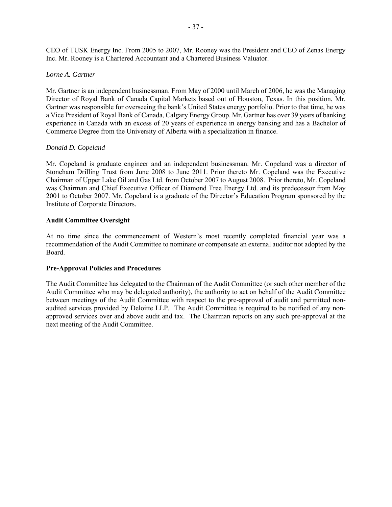CEO of TUSK Energy Inc. From 2005 to 2007, Mr. Rooney was the President and CEO of Zenas Energy Inc. Mr. Rooney is a Chartered Accountant and a Chartered Business Valuator.

## *Lorne A. Gartner*

Mr. Gartner is an independent businessman. From May of 2000 until March of 2006, he was the Managing Director of Royal Bank of Canada Capital Markets based out of Houston, Texas. In this position, Mr. Gartner was responsible for overseeing the bank's United States energy portfolio. Prior to that time, he was a Vice President of Royal Bank of Canada, Calgary Energy Group. Mr. Gartner has over 39 years of banking experience in Canada with an excess of 20 years of experience in energy banking and has a Bachelor of Commerce Degree from the University of Alberta with a specialization in finance.

## *Donald D. Copeland*

Mr. Copeland is graduate engineer and an independent businessman. Mr. Copeland was a director of Stoneham Drilling Trust from June 2008 to June 2011. Prior thereto Mr. Copeland was the Executive Chairman of Upper Lake Oil and Gas Ltd. from October 2007 to August 2008. Prior thereto, Mr. Copeland was Chairman and Chief Executive Officer of Diamond Tree Energy Ltd. and its predecessor from May 2001 to October 2007. Mr. Copeland is a graduate of the Director's Education Program sponsored by the Institute of Corporate Directors.

## **Audit Committee Oversight**

At no time since the commencement of Western's most recently completed financial year was a recommendation of the Audit Committee to nominate or compensate an external auditor not adopted by the Board.

## **Pre-Approval Policies and Procedures**

The Audit Committee has delegated to the Chairman of the Audit Committee (or such other member of the Audit Committee who may be delegated authority), the authority to act on behalf of the Audit Committee between meetings of the Audit Committee with respect to the pre-approval of audit and permitted nonaudited services provided by Deloitte LLP. The Audit Committee is required to be notified of any nonapproved services over and above audit and tax. The Chairman reports on any such pre-approval at the next meeting of the Audit Committee.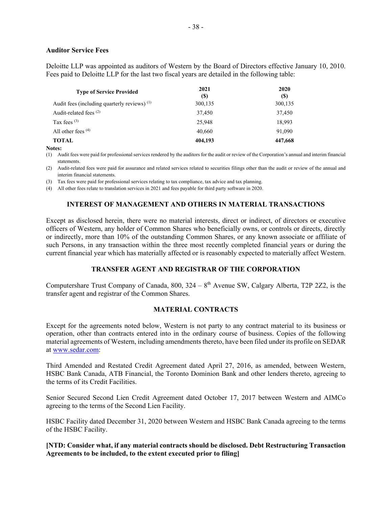#### **Auditor Service Fees**

Deloitte LLP was appointed as auditors of Western by the Board of Directors effective January 10, 2010. Fees paid to Deloitte LLP for the last two fiscal years are detailed in the following table:

| <b>Type of Service Provided</b>                | 2021<br>(S) | 2020<br>(\$) |
|------------------------------------------------|-------------|--------------|
| Audit fees (including quarterly reviews) $(1)$ | 300,135     | 300,135      |
| Audit-related fees <sup>(2)</sup>              | 37,450      | 37,450       |
| Tax fees $(3)$                                 | 25,948      | 18.993       |
| All other fees $(4)$                           | 40,660      | 91,090       |
| TOTAL                                          | 404,193     | 447,668      |

**Notes:** 

(1) Audit fees were paid for professional services rendered by the auditors for the audit or review of the Corporation's annual and interim financial statements.

(2) Audit-related fees were paid for assurance and related services related to securities filings other than the audit or review of the annual and interim financial statements.

(3) Tax fees were paid for professional services relating to tax compliance, tax advice and tax planning.

(4) All other fees relate to translation services in 2021 and fees payable for third party software in 2020.

## **INTEREST OF MANAGEMENT AND OTHERS IN MATERIAL TRANSACTIONS**

Except as disclosed herein, there were no material interests, direct or indirect, of directors or executive officers of Western, any holder of Common Shares who beneficially owns, or controls or directs, directly or indirectly, more than 10% of the outstanding Common Shares, or any known associate or affiliate of such Persons, in any transaction within the three most recently completed financial years or during the current financial year which has materially affected or is reasonably expected to materially affect Western.

## **TRANSFER AGENT AND REGISTRAR OF THE CORPORATION**

Computershare Trust Company of Canada, 800,  $324 - 8^{th}$  Avenue SW, Calgary Alberta, T2P 2Z2, is the transfer agent and registrar of the Common Shares.

#### **MATERIAL CONTRACTS**

Except for the agreements noted below, Western is not party to any contract material to its business or operation, other than contracts entered into in the ordinary course of business. Copies of the following material agreements of Western, including amendments thereto, have been filed under its profile on SEDAR at www.sedar.com:

Third Amended and Restated Credit Agreement dated April 27, 2016, as amended, between Western, HSBC Bank Canada, ATB Financial, the Toronto Dominion Bank and other lenders thereto, agreeing to the terms of its Credit Facilities.

Senior Secured Second Lien Credit Agreement dated October 17, 2017 between Western and AIMCo agreeing to the terms of the Second Lien Facility.

HSBC Facility dated December 31, 2020 between Western and HSBC Bank Canada agreeing to the terms of the HSBC Facility.

## **[NTD: Consider what, if any material contracts should be disclosed. Debt Restructuring Transaction Agreements to be included, to the extent executed prior to filing]**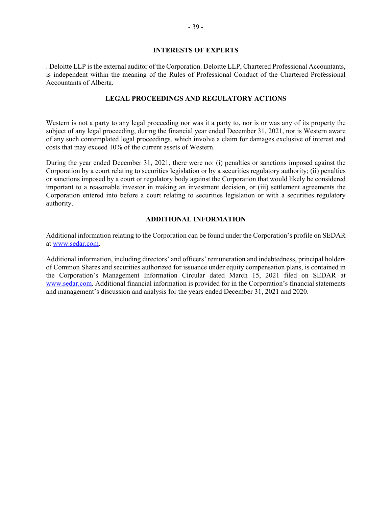## **INTERESTS OF EXPERTS**

. Deloitte LLP is the external auditor of the Corporation. Deloitte LLP, Chartered Professional Accountants, is independent within the meaning of the Rules of Professional Conduct of the Chartered Professional Accountants of Alberta.

#### **LEGAL PROCEEDINGS AND REGULATORY ACTIONS**

Western is not a party to any legal proceeding nor was it a party to, nor is or was any of its property the subject of any legal proceeding, during the financial year ended December 31, 2021, nor is Western aware of any such contemplated legal proceedings, which involve a claim for damages exclusive of interest and costs that may exceed 10% of the current assets of Western.

During the year ended December 31, 2021, there were no: (i) penalties or sanctions imposed against the Corporation by a court relating to securities legislation or by a securities regulatory authority; (ii) penalties or sanctions imposed by a court or regulatory body against the Corporation that would likely be considered important to a reasonable investor in making an investment decision, or (iii) settlement agreements the Corporation entered into before a court relating to securities legislation or with a securities regulatory authority.

#### **ADDITIONAL INFORMATION**

Additional information relating to the Corporation can be found under the Corporation's profile on SEDAR at www.sedar.com.

Additional information, including directors' and officers' remuneration and indebtedness, principal holders of Common Shares and securities authorized for issuance under equity compensation plans, is contained in the Corporation's Management Information Circular dated March 15, 2021 filed on SEDAR at www.sedar.com. Additional financial information is provided for in the Corporation's financial statements and management's discussion and analysis for the years ended December 31, 2021 and 2020.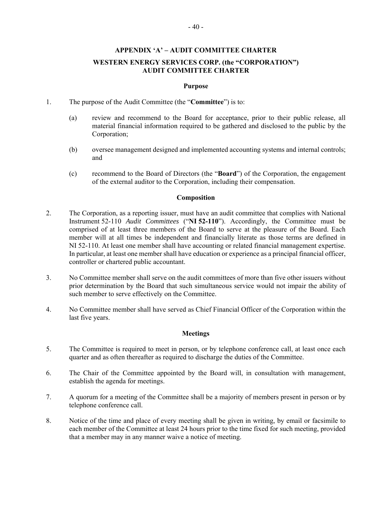#### **APPENDIX 'A' – AUDIT COMMITTEE CHARTER**

## **WESTERN ENERGY SERVICES CORP. (the "CORPORATION") AUDIT COMMITTEE CHARTER**

#### **Purpose**

- 1. The purpose of the Audit Committee (the "**Committee**") is to:
	- (a) review and recommend to the Board for acceptance, prior to their public release, all material financial information required to be gathered and disclosed to the public by the Corporation;
	- (b) oversee management designed and implemented accounting systems and internal controls; and
	- (c) recommend to the Board of Directors (the "**Board**") of the Corporation, the engagement of the external auditor to the Corporation, including their compensation.

#### **Composition**

- 2. The Corporation, as a reporting issuer, must have an audit committee that complies with National Instrument 52-110 *Audit Committees* ("**NI 52-110**"). Accordingly, the Committee must be comprised of at least three members of the Board to serve at the pleasure of the Board. Each member will at all times be independent and financially literate as those terms are defined in NI 52-110. At least one member shall have accounting or related financial management expertise. In particular, at least one member shall have education or experience as a principal financial officer, controller or chartered public accountant.
- 3. No Committee member shall serve on the audit committees of more than five other issuers without prior determination by the Board that such simultaneous service would not impair the ability of such member to serve effectively on the Committee.
- 4. No Committee member shall have served as Chief Financial Officer of the Corporation within the last five years.

## **Meetings**

- 5. The Committee is required to meet in person, or by telephone conference call, at least once each quarter and as often thereafter as required to discharge the duties of the Committee.
- 6. The Chair of the Committee appointed by the Board will, in consultation with management, establish the agenda for meetings.
- 7. A quorum for a meeting of the Committee shall be a majority of members present in person or by telephone conference call.
- 8. Notice of the time and place of every meeting shall be given in writing, by email or facsimile to each member of the Committee at least 24 hours prior to the time fixed for such meeting, provided that a member may in any manner waive a notice of meeting.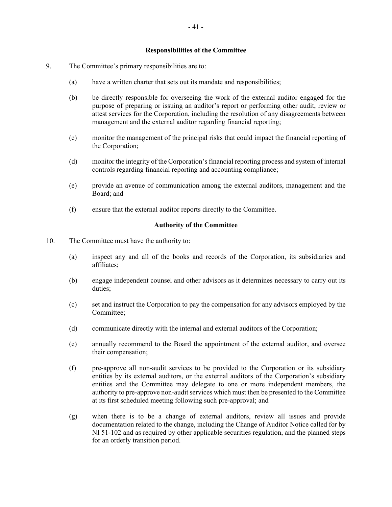#### **Responsibilities of the Committee**

- 9. The Committee's primary responsibilities are to:
	- (a) have a written charter that sets out its mandate and responsibilities;
	- (b) be directly responsible for overseeing the work of the external auditor engaged for the purpose of preparing or issuing an auditor's report or performing other audit, review or attest services for the Corporation, including the resolution of any disagreements between management and the external auditor regarding financial reporting;
	- (c) monitor the management of the principal risks that could impact the financial reporting of the Corporation;
	- (d) monitor the integrity of the Corporation's financial reporting process and system of internal controls regarding financial reporting and accounting compliance;
	- (e) provide an avenue of communication among the external auditors, management and the Board; and
	- (f) ensure that the external auditor reports directly to the Committee.

## **Authority of the Committee**

- 10. The Committee must have the authority to:
	- (a) inspect any and all of the books and records of the Corporation, its subsidiaries and affiliates;
	- (b) engage independent counsel and other advisors as it determines necessary to carry out its duties;
	- (c) set and instruct the Corporation to pay the compensation for any advisors employed by the Committee;
	- (d) communicate directly with the internal and external auditors of the Corporation;
	- (e) annually recommend to the Board the appointment of the external auditor, and oversee their compensation;
	- (f) pre-approve all non-audit services to be provided to the Corporation or its subsidiary entities by its external auditors, or the external auditors of the Corporation's subsidiary entities and the Committee may delegate to one or more independent members, the authority to pre-approve non-audit services which must then be presented to the Committee at its first scheduled meeting following such pre-approval; and
	- (g) when there is to be a change of external auditors, review all issues and provide documentation related to the change, including the Change of Auditor Notice called for by NI 51-102 and as required by other applicable securities regulation, and the planned steps for an orderly transition period.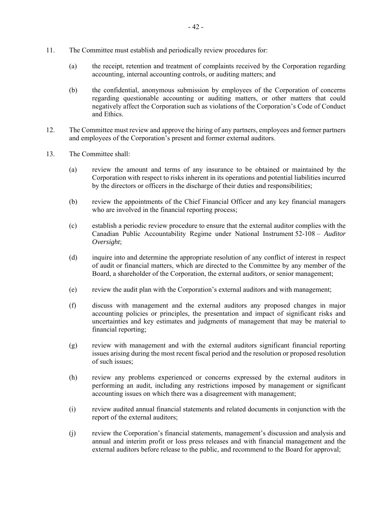- 11. The Committee must establish and periodically review procedures for:
	- (a) the receipt, retention and treatment of complaints received by the Corporation regarding accounting, internal accounting controls, or auditing matters; and
	- (b) the confidential, anonymous submission by employees of the Corporation of concerns regarding questionable accounting or auditing matters, or other matters that could negatively affect the Corporation such as violations of the Corporation's Code of Conduct and Ethics.
- 12. The Committee must review and approve the hiring of any partners, employees and former partners and employees of the Corporation's present and former external auditors.
- 13. The Committee shall:
	- (a) review the amount and terms of any insurance to be obtained or maintained by the Corporation with respect to risks inherent in its operations and potential liabilities incurred by the directors or officers in the discharge of their duties and responsibilities;
	- (b) review the appointments of the Chief Financial Officer and any key financial managers who are involved in the financial reporting process;
	- (c) establish a periodic review procedure to ensure that the external auditor complies with the Canadian Public Accountability Regime under National Instrument 52-108 – *Auditor Oversight*;
	- (d) inquire into and determine the appropriate resolution of any conflict of interest in respect of audit or financial matters, which are directed to the Committee by any member of the Board, a shareholder of the Corporation, the external auditors, or senior management;
	- (e) review the audit plan with the Corporation's external auditors and with management;
	- (f) discuss with management and the external auditors any proposed changes in major accounting policies or principles, the presentation and impact of significant risks and uncertainties and key estimates and judgments of management that may be material to financial reporting;
	- (g) review with management and with the external auditors significant financial reporting issues arising during the most recent fiscal period and the resolution or proposed resolution of such issues;
	- (h) review any problems experienced or concerns expressed by the external auditors in performing an audit, including any restrictions imposed by management or significant accounting issues on which there was a disagreement with management;
	- (i) review audited annual financial statements and related documents in conjunction with the report of the external auditors;
	- (j) review the Corporation's financial statements, management's discussion and analysis and annual and interim profit or loss press releases and with financial management and the external auditors before release to the public, and recommend to the Board for approval;